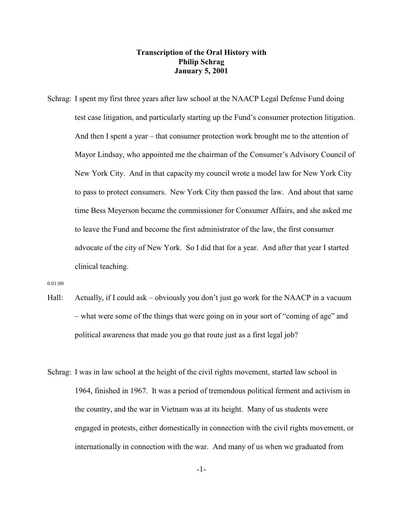## **Transcription of the Oral History with Philip Schrag January 5, 2001**

Schrag: I spent my first three years after law school at the NAACP Legal Defense Fund doing test case litigation, and particularly starting up the Fund's consumer protection litigation. And then I spent a year – that consumer protection work brought me to the attention of Mayor Lindsay, who appointed me the chairman of the Consumer's Advisory Council of New York City. And in that capacity my council wrote a model law for New York City to pass to protect consumers. New York City then passed the law. And about that same time Bess Meyerson became the commissioner for Consumer Affairs, and she asked me to leave the Fund and become the first administrator of the law, the first consumer advocate of the city of New York. So I did that for a year. And after that year I started clinical teaching.

0:01:00

- Hall: Actually, if I could ask obviously you don't just go work for the NAACP in a vacuum – what were some of the things that were going on in your sort of "coming of age" and political awareness that made you go that route just as a first legal job?
- Schrag: I was in law school at the height of the civil rights movement, started law school in 1964, finished in 1967. It was a period of tremendous political ferment and activism in the country, and the war in Vietnam was at its height. Many of us students were engaged in protests, either domestically in connection with the civil rights movement, or internationally in connection with the war. And many of us when we graduated from

-1-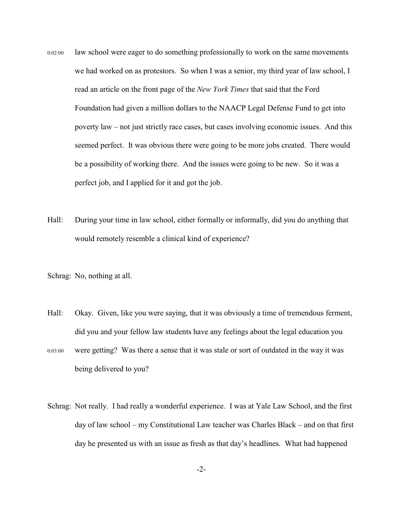- 0:02:00 law school were eager to do something professionally to work on the same movements we had worked on as protestors. So when I was a senior, my third year of law school, I read an article on the front page of the *New York Times* that said that the Ford Foundation had given a million dollars to the NAACP Legal Defense Fund to get into poverty law – not just strictly race cases, but cases involving economic issues. And this seemed perfect. It was obvious there were going to be more jobs created. There would be a possibility of working there. And the issues were going to be new. So it was a perfect job, and I applied for it and got the job.
- Hall: During your time in law school, either formally or informally, did you do anything that would remotely resemble a clinical kind of experience?

Schrag: No, nothing at all.

- Hall: Okay. Given, like you were saying, that it was obviously a time of tremendous ferment, did you and your fellow law students have any feelings about the legal education you
- 0:03:00 were getting? Was there a sense that it was stale or sort of outdated in the way it was being delivered to you?
- Schrag: Not really. I had really a wonderful experience. I was at Yale Law School, and the first day of law school – my Constitutional Law teacher was Charles Black – and on that first day he presented us with an issue as fresh as that day's headlines. What had happened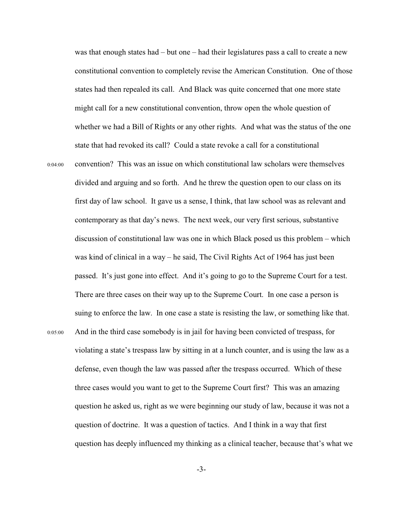was that enough states had – but one – had their legislatures pass a call to create a new constitutional convention to completely revise the American Constitution. One of those states had then repealed its call. And Black was quite concerned that one more state might call for a new constitutional convention, throw open the whole question of whether we had a Bill of Rights or any other rights. And what was the status of the one state that had revoked its call? Could a state revoke a call for a constitutional 0:04:00 convention? This was an issue on which constitutional law scholars were themselves divided and arguing and so forth. And he threw the question open to our class on its first day of law school. It gave us a sense, I think, that law school was as relevant and contemporary as that day's news. The next week, our very first serious, substantive discussion of constitutional law was one in which Black posed us this problem – which was kind of clinical in a way – he said, The Civil Rights Act of 1964 has just been passed. It's just gone into effect. And it's going to go to the Supreme Court for a test. There are three cases on their way up to the Supreme Court. In one case a person is suing to enforce the law. In one case a state is resisting the law, or something like that. 0:05:00 And in the third case somebody is in jail for having been convicted of trespass, for violating a state's trespass law by sitting in at a lunch counter, and is using the law as a defense, even though the law was passed after the trespass occurred. Which of these three cases would you want to get to the Supreme Court first? This was an amazing question he asked us, right as we were beginning our study of law, because it was not a question of doctrine. It was a question of tactics. And I think in a way that first question has deeply influenced my thinking as a clinical teacher, because that's what we

-3-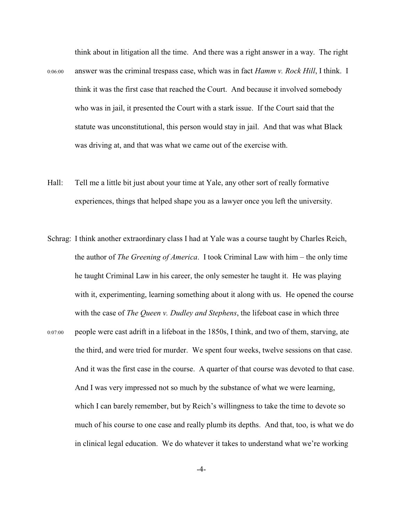think about in litigation all the time. And there was a right answer in a way. The right 0:06:00 answer was the criminal trespass case, which was in fact *Hamm v. Rock Hill*, I think. I think it was the first case that reached the Court. And because it involved somebody who was in jail, it presented the Court with a stark issue. If the Court said that the statute was unconstitutional, this person would stay in jail. And that was what Black was driving at, and that was what we came out of the exercise with.

- Hall: Tell me a little bit just about your time at Yale, any other sort of really formative experiences, things that helped shape you as a lawyer once you left the university.
- Schrag: I think another extraordinary class I had at Yale was a course taught by Charles Reich, the author of *The Greening of America*. I took Criminal Law with him – the only time he taught Criminal Law in his career, the only semester he taught it. He was playing with it, experimenting, learning something about it along with us. He opened the course with the case of *The Queen v. Dudley and Stephens*, the lifeboat case in which three 0:07:00 people were cast adrift in a lifeboat in the 1850s, I think, and two of them, starving, ate the third, and were tried for murder. We spent four weeks, twelve sessions on that case. And it was the first case in the course. A quarter of that course was devoted to that case. And I was very impressed not so much by the substance of what we were learning, which I can barely remember, but by Reich's willingness to take the time to devote so much of his course to one case and really plumb its depths. And that, too, is what we do in clinical legal education. We do whatever it takes to understand what we're working

-4-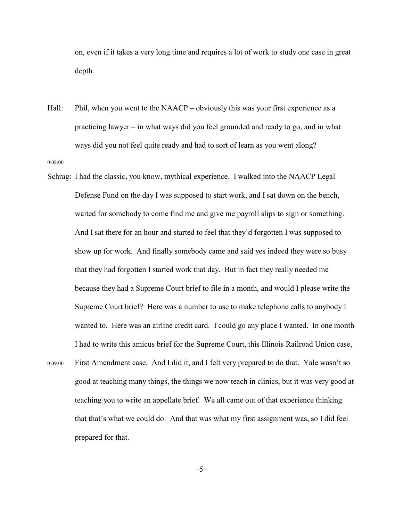on, even if it takes a very long time and requires a lot of work to study one case in great depth.

- Hall: Phil, when you went to the NAACP obviously this was your first experience as a practicing lawyer – in what ways did you feel grounded and ready to go, and in what ways did you not feel quite ready and had to sort of learn as you went along? 0:08:00
- Schrag: I had the classic, you know, mythical experience. I walked into the NAACP Legal Defense Fund on the day I was supposed to start work, and I sat down on the bench, waited for somebody to come find me and give me payroll slips to sign or something. And I sat there for an hour and started to feel that they'd forgotten I was supposed to show up for work. And finally somebody came and said yes indeed they were so busy that they had forgotten I started work that day. But in fact they really needed me because they had a Supreme Court brief to file in a month, and would I please write the Supreme Court brief? Here was a number to use to make telephone calls to anybody I wanted to. Here was an airline credit card. I could go any place I wanted. In one month I had to write this amicus brief for the Supreme Court, this Illinois Railroad Union case, 0:09:00 First Amendment case. And I did it, and I felt very prepared to do that. Yale wasn't so good at teaching many things, the things we now teach in clinics, but it was very good at teaching you to write an appellate brief. We all came out of that experience thinking that that's what we could do. And that was what my first assignment was, so I did feel prepared for that.

-5-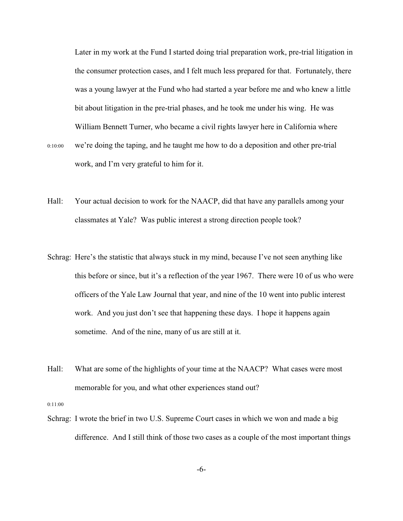Later in my work at the Fund I started doing trial preparation work, pre-trial litigation in the consumer protection cases, and I felt much less prepared for that. Fortunately, there was a young lawyer at the Fund who had started a year before me and who knew a little bit about litigation in the pre-trial phases, and he took me under his wing. He was William Bennett Turner, who became a civil rights lawyer here in California where 0:10:00 we're doing the taping, and he taught me how to do a deposition and other pre-trial

work, and I'm very grateful to him for it.

- Hall: Your actual decision to work for the NAACP, did that have any parallels among your classmates at Yale? Was public interest a strong direction people took?
- Schrag: Here's the statistic that always stuck in my mind, because I've not seen anything like this before or since, but it's a reflection of the year 1967. There were 10 of us who were officers of the Yale Law Journal that year, and nine of the 10 went into public interest work. And you just don't see that happening these days. I hope it happens again sometime. And of the nine, many of us are still at it.
- Hall: What are some of the highlights of your time at the NAACP? What cases were most memorable for you, and what other experiences stand out?

0:11:00

Schrag: I wrote the brief in two U.S. Supreme Court cases in which we won and made a big difference. And I still think of those two cases as a couple of the most important things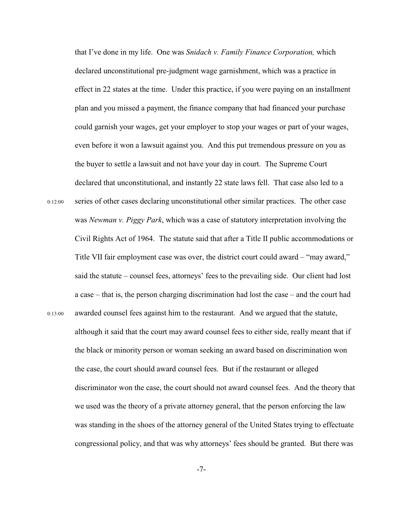that I've done in my life. One was *Snidach v. Family Finance Corporation,* which declared unconstitutional pre-judgment wage garnishment, which was a practice in effect in 22 states at the time. Under this practice, if you were paying on an installment plan and you missed a payment, the finance company that had financed your purchase could garnish your wages, get your employer to stop your wages or part of your wages, even before it won a lawsuit against you. And this put tremendous pressure on you as the buyer to settle a lawsuit and not have your day in court. The Supreme Court declared that unconstitutional, and instantly 22 state laws fell. That case also led to a 0:12:00 series of other cases declaring unconstitutional other similar practices. The other case was *Newman v. Piggy Park*, which was a case of statutory interpretation involving the Civil Rights Act of 1964. The statute said that after a Title II public accommodations or Title VII fair employment case was over, the district court could award – "may award," said the statute – counsel fees, attorneys' fees to the prevailing side. Our client had lost a case – that is, the person charging discrimination had lost the case – and the court had 0:13:00 awarded counsel fees against him to the restaurant. And we argued that the statute, although it said that the court may award counsel fees to either side, really meant that if the black or minority person or woman seeking an award based on discrimination won the case, the court should award counsel fees. But if the restaurant or alleged discriminator won the case, the court should not award counsel fees. And the theory that we used was the theory of a private attorney general, that the person enforcing the law was standing in the shoes of the attorney general of the United States trying to effectuate congressional policy, and that was why attorneys' fees should be granted. But there was

-7-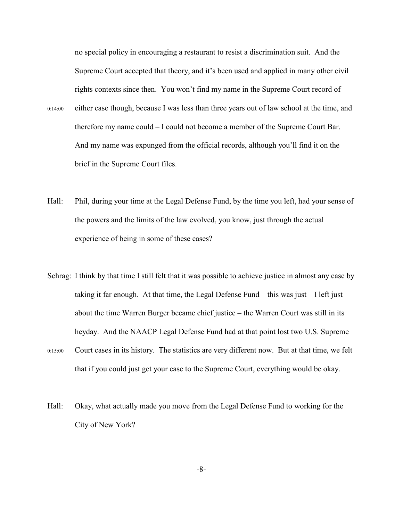no special policy in encouraging a restaurant to resist a discrimination suit. And the Supreme Court accepted that theory, and it's been used and applied in many other civil rights contexts since then. You won't find my name in the Supreme Court record of

- 0:14:00 either case though, because I was less than three years out of law school at the time, and therefore my name could – I could not become a member of the Supreme Court Bar. And my name was expunged from the official records, although you'll find it on the brief in the Supreme Court files.
- Hall: Phil, during your time at the Legal Defense Fund, by the time you left, had your sense of the powers and the limits of the law evolved, you know, just through the actual experience of being in some of these cases?
- Schrag: I think by that time I still felt that it was possible to achieve justice in almost any case by taking it far enough. At that time, the Legal Defense Fund – this was just  $-I$  left just about the time Warren Burger became chief justice – the Warren Court was still in its heyday. And the NAACP Legal Defense Fund had at that point lost two U.S. Supreme
- 0:15:00 Court cases in its history. The statistics are very different now. But at that time, we felt that if you could just get your case to the Supreme Court, everything would be okay.
- Hall: Okay, what actually made you move from the Legal Defense Fund to working for the City of New York?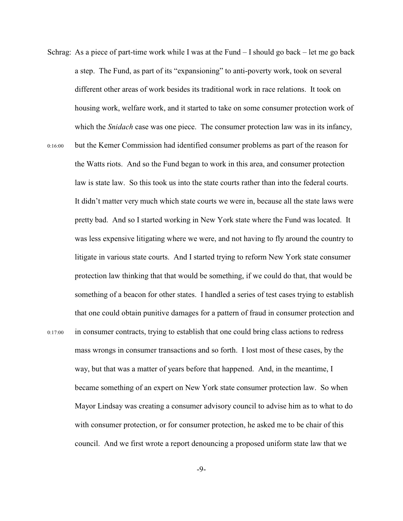- Schrag: As a piece of part-time work while I was at the Fund  $-$  I should go back  $-$  let me go back a step. The Fund, as part of its "expansioning" to anti-poverty work, took on several different other areas of work besides its traditional work in race relations. It took on housing work, welfare work, and it started to take on some consumer protection work of which the *Snidach* case was one piece. The consumer protection law was in its infancy,
- 0:16:00 but the Kemer Commission had identified consumer problems as part of the reason for the Watts riots. And so the Fund began to work in this area, and consumer protection law is state law. So this took us into the state courts rather than into the federal courts. It didn't matter very much which state courts we were in, because all the state laws were pretty bad. And so I started working in New York state where the Fund was located. It was less expensive litigating where we were, and not having to fly around the country to litigate in various state courts. And I started trying to reform New York state consumer protection law thinking that that would be something, if we could do that, that would be something of a beacon for other states. I handled a series of test cases trying to establish that one could obtain punitive damages for a pattern of fraud in consumer protection and 0:17:00 in consumer contracts, trying to establish that one could bring class actions to redress mass wrongs in consumer transactions and so forth. I lost most of these cases, by the way, but that was a matter of years before that happened. And, in the meantime, I became something of an expert on New York state consumer protection law. So when Mayor Lindsay was creating a consumer advisory council to advise him as to what to do with consumer protection, or for consumer protection, he asked me to be chair of this council. And we first wrote a report denouncing a proposed uniform state law that we

-9-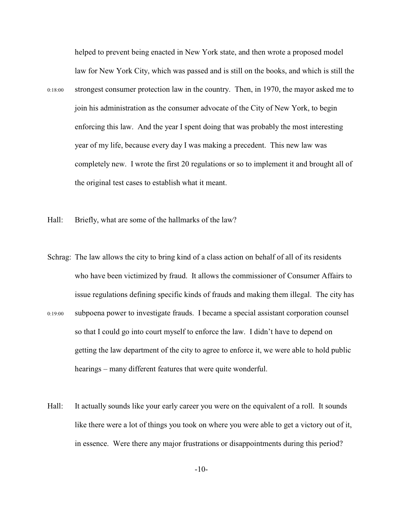helped to prevent being enacted in New York state, and then wrote a proposed model law for New York City, which was passed and is still on the books, and which is still the 0:18:00 strongest consumer protection law in the country. Then, in 1970, the mayor asked me to join his administration as the consumer advocate of the City of New York, to begin enforcing this law. And the year I spent doing that was probably the most interesting year of my life, because every day I was making a precedent. This new law was completely new. I wrote the first 20 regulations or so to implement it and brought all of the original test cases to establish what it meant.

Hall: Briefly, what are some of the hallmarks of the law?

- Schrag: The law allows the city to bring kind of a class action on behalf of all of its residents who have been victimized by fraud. It allows the commissioner of Consumer Affairs to issue regulations defining specific kinds of frauds and making them illegal. The city has 0:19:00 subpoena power to investigate frauds. I became a special assistant corporation counsel so that I could go into court myself to enforce the law. I didn't have to depend on getting the law department of the city to agree to enforce it, we were able to hold public hearings – many different features that were quite wonderful.
- Hall: It actually sounds like your early career you were on the equivalent of a roll. It sounds like there were a lot of things you took on where you were able to get a victory out of it, in essence. Were there any major frustrations or disappointments during this period?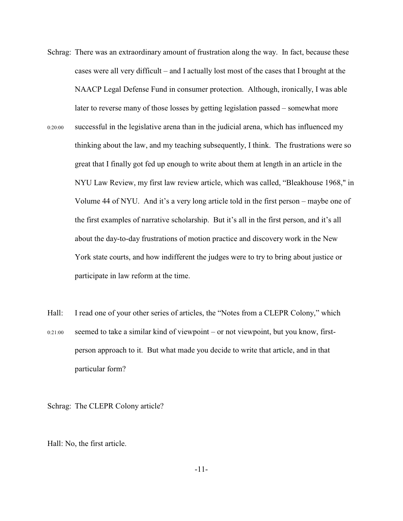- Schrag: There was an extraordinary amount of frustration along the way. In fact, because these cases were all very difficult – and I actually lost most of the cases that I brought at the NAACP Legal Defense Fund in consumer protection. Although, ironically, I was able later to reverse many of those losses by getting legislation passed – somewhat more 0:20:00 successful in the legislative arena than in the judicial arena, which has influenced my thinking about the law, and my teaching subsequently, I think. The frustrations were so great that I finally got fed up enough to write about them at length in an article in the NYU Law Review, my first law review article, which was called, "Bleakhouse 1968," in Volume 44 of NYU. And it's a very long article told in the first person – maybe one of the first examples of narrative scholarship. But it's all in the first person, and it's all about the day-to-day frustrations of motion practice and discovery work in the New York state courts, and how indifferent the judges were to try to bring about justice or participate in law reform at the time.
- Hall: I read one of your other series of articles, the "Notes from a CLEPR Colony," which 0:21:00 seemed to take a similar kind of viewpoint – or not viewpoint, but you know, firstperson approach to it. But what made you decide to write that article, and in that particular form?

Schrag: The CLEPR Colony article?

Hall: No, the first article.

-11-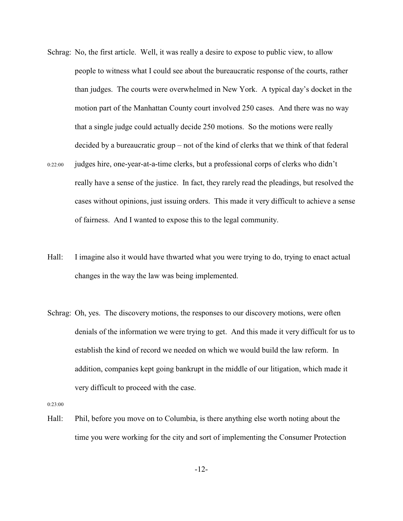- Schrag: No, the first article. Well, it was really a desire to expose to public view, to allow people to witness what I could see about the bureaucratic response of the courts, rather than judges. The courts were overwhelmed in New York. A typical day's docket in the motion part of the Manhattan County court involved 250 cases. And there was no way that a single judge could actually decide 250 motions. So the motions were really decided by a bureaucratic group – not of the kind of clerks that we think of that federal
- 0:22:00 judges hire, one-year-at-a-time clerks, but a professional corps of clerks who didn't really have a sense of the justice. In fact, they rarely read the pleadings, but resolved the cases without opinions, just issuing orders. This made it very difficult to achieve a sense of fairness. And I wanted to expose this to the legal community.
- Hall: I imagine also it would have thwarted what you were trying to do, trying to enact actual changes in the way the law was being implemented.
- Schrag: Oh, yes. The discovery motions, the responses to our discovery motions, were often denials of the information we were trying to get. And this made it very difficult for us to establish the kind of record we needed on which we would build the law reform. In addition, companies kept going bankrupt in the middle of our litigation, which made it very difficult to proceed with the case.

0:23:00

Hall: Phil, before you move on to Columbia, is there anything else worth noting about the time you were working for the city and sort of implementing the Consumer Protection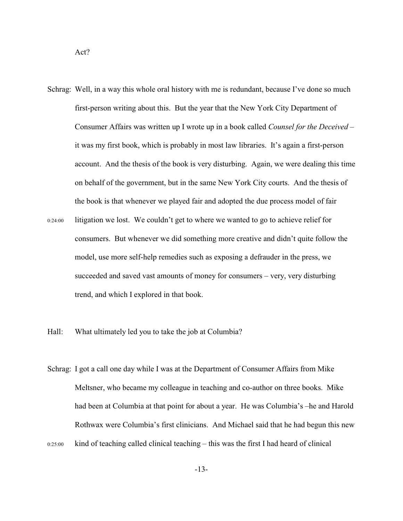Schrag: Well, in a way this whole oral history with me is redundant, because I've done so much first-person writing about this. But the year that the New York City Department of Consumer Affairs was written up I wrote up in a book called *Counsel for the Deceived* – it was my first book, which is probably in most law libraries. It's again a first-person account. And the thesis of the book is very disturbing. Again, we were dealing this time on behalf of the government, but in the same New York City courts. And the thesis of the book is that whenever we played fair and adopted the due process model of fair

0:24:00 litigation we lost. We couldn't get to where we wanted to go to achieve relief for consumers. But whenever we did something more creative and didn't quite follow the model, use more self-help remedies such as exposing a defrauder in the press, we succeeded and saved vast amounts of money for consumers – very, very disturbing trend, and which I explored in that book.

Hall: What ultimately led you to take the job at Columbia?

Schrag: I got a call one day while I was at the Department of Consumer Affairs from Mike Meltsner, who became my colleague in teaching and co-author on three books. Mike had been at Columbia at that point for about a year. He was Columbia's –he and Harold Rothwax were Columbia's first clinicians. And Michael said that he had begun this new 0:25:00 kind of teaching called clinical teaching – this was the first I had heard of clinical

-13-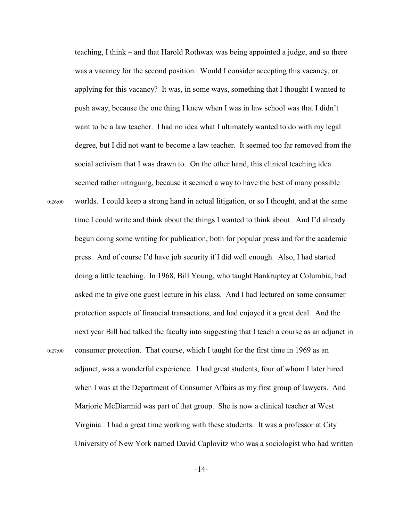teaching, I think – and that Harold Rothwax was being appointed a judge, and so there was a vacancy for the second position. Would I consider accepting this vacancy, or applying for this vacancy? It was, in some ways, something that I thought I wanted to push away, because the one thing I knew when I was in law school was that I didn't want to be a law teacher. I had no idea what I ultimately wanted to do with my legal degree, but I did not want to become a law teacher. It seemed too far removed from the social activism that I was drawn to. On the other hand, this clinical teaching idea seemed rather intriguing, because it seemed a way to have the best of many possible 0:26:00 worlds. I could keep a strong hand in actual litigation, or so I thought, and at the same time I could write and think about the things I wanted to think about. And I'd already begun doing some writing for publication, both for popular press and for the academic press. And of course I'd have job security if I did well enough. Also, I had started doing a little teaching. In 1968, Bill Young, who taught Bankruptcy at Columbia, had asked me to give one guest lecture in his class. And I had lectured on some consumer protection aspects of financial transactions, and had enjoyed it a great deal. And the next year Bill had talked the faculty into suggesting that I teach a course as an adjunct in 0:27:00 consumer protection. That course, which I taught for the first time in 1969 as an adjunct, was a wonderful experience. I had great students, four of whom I later hired when I was at the Department of Consumer Affairs as my first group of lawyers. And Marjorie McDiarmid was part of that group. She is now a clinical teacher at West Virginia. I had a great time working with these students. It was a professor at City University of New York named David Caplovitz who was a sociologist who had written

-14-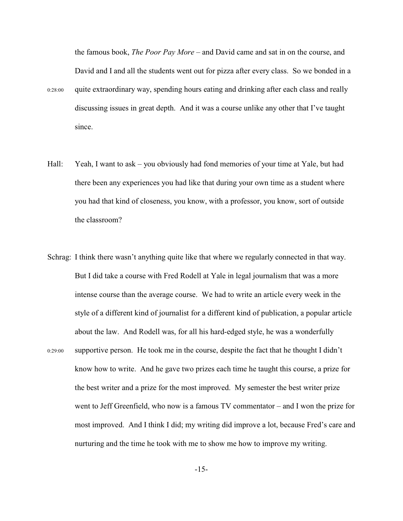the famous book, *The Poor Pay More* – and David came and sat in on the course, and David and I and all the students went out for pizza after every class. So we bonded in a 0:28:00 quite extraordinary way, spending hours eating and drinking after each class and really discussing issues in great depth. And it was a course unlike any other that I've taught since.

- Hall: Yeah, I want to ask you obviously had fond memories of your time at Yale, but had there been any experiences you had like that during your own time as a student where you had that kind of closeness, you know, with a professor, you know, sort of outside the classroom?
- Schrag: I think there wasn't anything quite like that where we regularly connected in that way. But I did take a course with Fred Rodell at Yale in legal journalism that was a more intense course than the average course. We had to write an article every week in the style of a different kind of journalist for a different kind of publication, a popular article about the law. And Rodell was, for all his hard-edged style, he was a wonderfully 0:29:00 supportive person. He took me in the course, despite the fact that he thought I didn't know how to write. And he gave two prizes each time he taught this course, a prize for the best writer and a prize for the most improved. My semester the best writer prize went to Jeff Greenfield, who now is a famous TV commentator – and I won the prize for most improved. And I think I did; my writing did improve a lot, because Fred's care and nurturing and the time he took with me to show me how to improve my writing.

-15-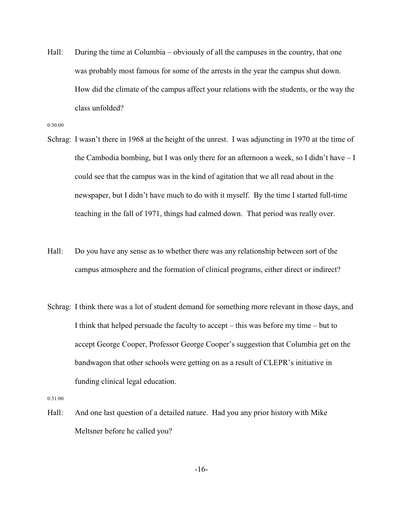Hall: During the time at Columbia – obviously of all the campuses in the country, that one was probably most famous for some of the arrests in the year the campus shut down. How did the climate of the campus affect your relations with the students, or the way the class unfolded?

0:30:00

- Schrag: I wasn't there in 1968 at the height of the unrest. I was adjuncting in 1970 at the time of the Cambodia bombing, but I was only there for an afternoon a week, so I didn't have – I could see that the campus was in the kind of agitation that we all read about in the newspaper, but I didn't have much to do with it myself. By the time I started full-time teaching in the fall of 1971, things had calmed down. That period was really over.
- Hall: Do you have any sense as to whether there was any relationship between sort of the campus atmosphere and the formation of clinical programs, either direct or indirect?
- Schrag: I think there was a lot of student demand for something more relevant in those days, and I think that helped persuade the faculty to accept – this was before my time – but to accept George Cooper, Professor George Cooper's suggestion that Columbia get on the bandwagon that other schools were getting on as a result of CLEPR's initiative in funding clinical legal education.

0:31:00

Hall: And one last question of a detailed nature. Had you any prior history with Mike Meltsner before he called you?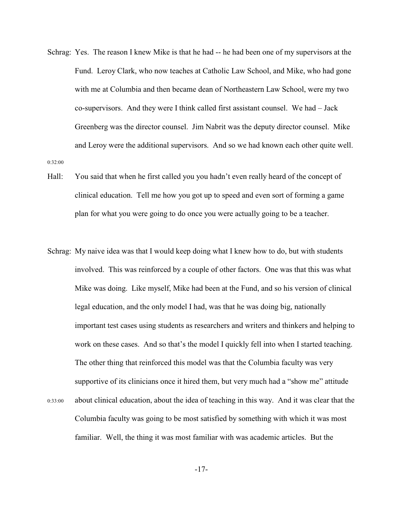- Schrag: Yes. The reason I knew Mike is that he had -- he had been one of my supervisors at the Fund. Leroy Clark, who now teaches at Catholic Law School, and Mike, who had gone with me at Columbia and then became dean of Northeastern Law School, were my two co-supervisors. And they were I think called first assistant counsel. We had – Jack Greenberg was the director counsel. Jim Nabrit was the deputy director counsel. Mike and Leroy were the additional supervisors. And so we had known each other quite well. 0:32:00
- Hall: You said that when he first called you you hadn't even really heard of the concept of clinical education. Tell me how you got up to speed and even sort of forming a game plan for what you were going to do once you were actually going to be a teacher.
- Schrag: My naive idea was that I would keep doing what I knew how to do, but with students involved. This was reinforced by a couple of other factors. One was that this was what Mike was doing. Like myself, Mike had been at the Fund, and so his version of clinical legal education, and the only model I had, was that he was doing big, nationally important test cases using students as researchers and writers and thinkers and helping to work on these cases. And so that's the model I quickly fell into when I started teaching. The other thing that reinforced this model was that the Columbia faculty was very supportive of its clinicians once it hired them, but very much had a "show me" attitude 0:33:00 about clinical education, about the idea of teaching in this way. And it was clear that the Columbia faculty was going to be most satisfied by something with which it was most familiar. Well, the thing it was most familiar with was academic articles. But the

-17-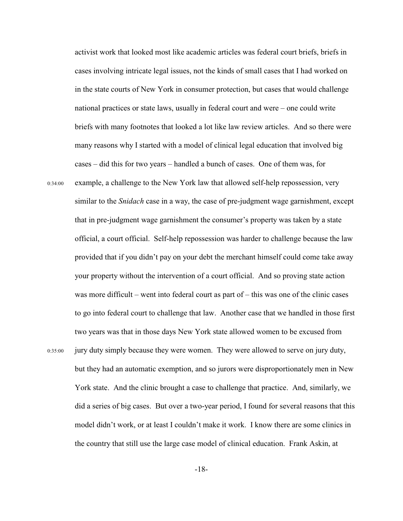activist work that looked most like academic articles was federal court briefs, briefs in cases involving intricate legal issues, not the kinds of small cases that I had worked on in the state courts of New York in consumer protection, but cases that would challenge national practices or state laws, usually in federal court and were – one could write briefs with many footnotes that looked a lot like law review articles. And so there were many reasons why I started with a model of clinical legal education that involved big cases – did this for two years – handled a bunch of cases. One of them was, for

0:34:00 example, a challenge to the New York law that allowed self-help repossession, very similar to the *Snidach* case in a way, the case of pre-judgment wage garnishment, except that in pre-judgment wage garnishment the consumer's property was taken by a state official, a court official. Self-help repossession was harder to challenge because the law provided that if you didn't pay on your debt the merchant himself could come take away your property without the intervention of a court official. And so proving state action was more difficult – went into federal court as part of – this was one of the clinic cases to go into federal court to challenge that law. Another case that we handled in those first two years was that in those days New York state allowed women to be excused from 0:35:00 jury duty simply because they were women. They were allowed to serve on jury duty, but they had an automatic exemption, and so jurors were disproportionately men in New York state. And the clinic brought a case to challenge that practice. And, similarly, we did a series of big cases. But over a two-year period, I found for several reasons that this model didn't work, or at least I couldn't make it work. I know there are some clinics in the country that still use the large case model of clinical education. Frank Askin, at

-18-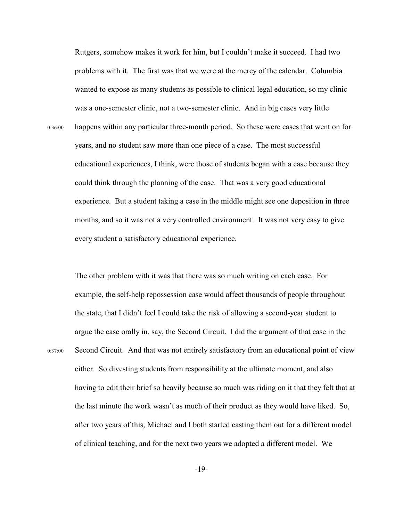Rutgers, somehow makes it work for him, but I couldn't make it succeed. I had two problems with it. The first was that we were at the mercy of the calendar. Columbia wanted to expose as many students as possible to clinical legal education, so my clinic was a one-semester clinic, not a two-semester clinic. And in big cases very little 0:36:00 happens within any particular three-month period. So these were cases that went on for years, and no student saw more than one piece of a case. The most successful educational experiences, I think, were those of students began with a case because they could think through the planning of the case. That was a very good educational experience. But a student taking a case in the middle might see one deposition in three months, and so it was not a very controlled environment. It was not very easy to give every student a satisfactory educational experience.

The other problem with it was that there was so much writing on each case. For example, the self-help repossession case would affect thousands of people throughout the state, that I didn't feel I could take the risk of allowing a second-year student to argue the case orally in, say, the Second Circuit. I did the argument of that case in the 0:37:00 Second Circuit. And that was not entirely satisfactory from an educational point of view either. So divesting students from responsibility at the ultimate moment, and also having to edit their brief so heavily because so much was riding on it that they felt that at the last minute the work wasn't as much of their product as they would have liked. So, after two years of this, Michael and I both started casting them out for a different model of clinical teaching, and for the next two years we adopted a different model. We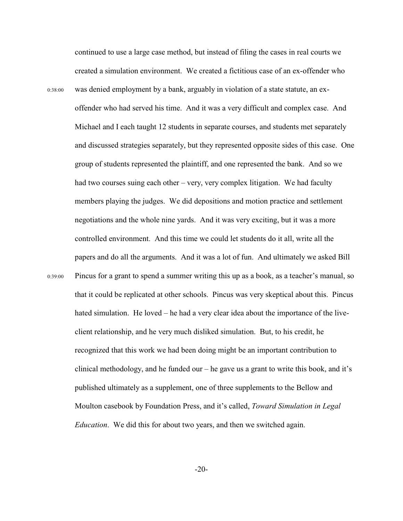continued to use a large case method, but instead of filing the cases in real courts we created a simulation environment. We created a fictitious case of an ex-offender who 0:38:00 was denied employment by a bank, arguably in violation of a state statute, an exoffender who had served his time. And it was a very difficult and complex case. And Michael and I each taught 12 students in separate courses, and students met separately and discussed strategies separately, but they represented opposite sides of this case. One group of students represented the plaintiff, and one represented the bank. And so we had two courses suing each other – very, very complex litigation. We had faculty members playing the judges. We did depositions and motion practice and settlement negotiations and the whole nine yards. And it was very exciting, but it was a more controlled environment. And this time we could let students do it all, write all the papers and do all the arguments. And it was a lot of fun. And ultimately we asked Bill 0:39:00 Pincus for a grant to spend a summer writing this up as a book, as a teacher's manual, so that it could be replicated at other schools. Pincus was very skeptical about this. Pincus hated simulation. He loved – he had a very clear idea about the importance of the liveclient relationship, and he very much disliked simulation. But, to his credit, he recognized that this work we had been doing might be an important contribution to clinical methodology, and he funded our – he gave us a grant to write this book, and it's published ultimately as a supplement, one of three supplements to the Bellow and Moulton casebook by Foundation Press, and it's called, *Toward Simulation in Legal Education*. We did this for about two years, and then we switched again.

-20-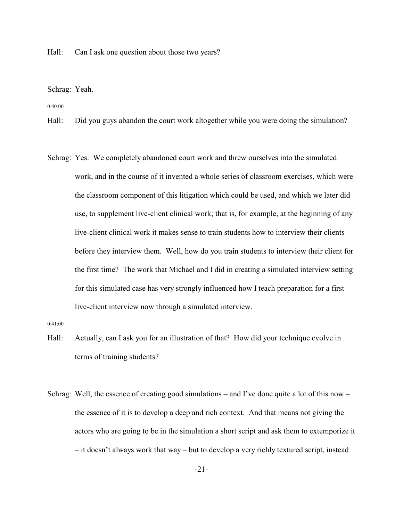Hall: Can I ask one question about those two years?

Schrag: Yeah.

0:40:00

Hall: Did you guys abandon the court work altogether while you were doing the simulation?

Schrag: Yes. We completely abandoned court work and threw ourselves into the simulated work, and in the course of it invented a whole series of classroom exercises, which were the classroom component of this litigation which could be used, and which we later did use, to supplement live-client clinical work; that is, for example, at the beginning of any live-client clinical work it makes sense to train students how to interview their clients before they interview them. Well, how do you train students to interview their client for the first time? The work that Michael and I did in creating a simulated interview setting for this simulated case has very strongly influenced how I teach preparation for a first live-client interview now through a simulated interview.

0:41:00

- Hall: Actually, can I ask you for an illustration of that? How did your technique evolve in terms of training students?
- Schrag: Well, the essence of creating good simulations and I've done quite a lot of this now the essence of it is to develop a deep and rich context. And that means not giving the actors who are going to be in the simulation a short script and ask them to extemporize it – it doesn't always work that way – but to develop a very richly textured script, instead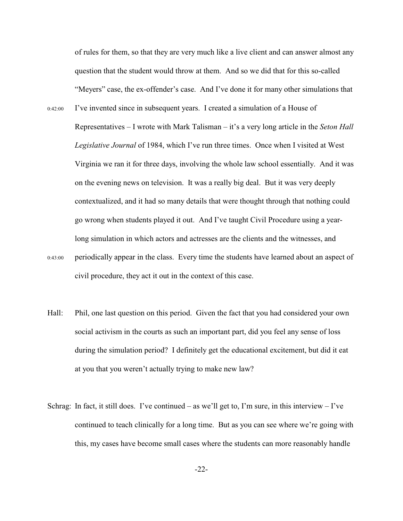of rules for them, so that they are very much like a live client and can answer almost any question that the student would throw at them. And so we did that for this so-called "Meyers" case, the ex-offender's case. And I've done it for many other simulations that

- 0:42:00 I've invented since in subsequent years. I created a simulation of a House of Representatives – I wrote with Mark Talisman – it's a very long article in the *Seton Hall Legislative Journal* of 1984, which I've run three times. Once when I visited at West Virginia we ran it for three days, involving the whole law school essentially. And it was on the evening news on television. It was a really big deal. But it was very deeply contextualized, and it had so many details that were thought through that nothing could go wrong when students played it out. And I've taught Civil Procedure using a yearlong simulation in which actors and actresses are the clients and the witnesses, and 0:43:00 periodically appear in the class. Every time the students have learned about an aspect of
- Hall: Phil, one last question on this period. Given the fact that you had considered your own social activism in the courts as such an important part, did you feel any sense of loss during the simulation period? I definitely get the educational excitement, but did it eat at you that you weren't actually trying to make new law?

civil procedure, they act it out in the context of this case.

Schrag: In fact, it still does. I've continued – as we'll get to, I'm sure, in this interview – I've continued to teach clinically for a long time. But as you can see where we're going with this, my cases have become small cases where the students can more reasonably handle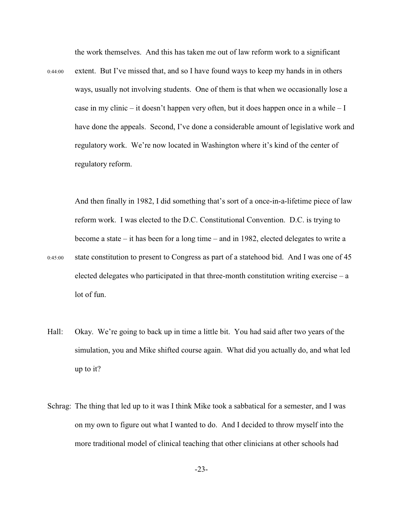the work themselves. And this has taken me out of law reform work to a significant

0:44:00 extent. But I've missed that, and so I have found ways to keep my hands in in others ways, usually not involving students. One of them is that when we occasionally lose a case in my clinic – it doesn't happen very often, but it does happen once in a while – I have done the appeals. Second, I've done a considerable amount of legislative work and regulatory work. We're now located in Washington where it's kind of the center of regulatory reform.

And then finally in 1982, I did something that's sort of a once-in-a-lifetime piece of law reform work. I was elected to the D.C. Constitutional Convention. D.C. is trying to become a state – it has been for a long time – and in 1982, elected delegates to write a 0:45:00 state constitution to present to Congress as part of a statehood bid. And I was one of 45 elected delegates who participated in that three-month constitution writing exercise  $-a$ lot of fun.

- Hall: Okay. We're going to back up in time a little bit. You had said after two years of the simulation, you and Mike shifted course again. What did you actually do, and what led up to it?
- Schrag: The thing that led up to it was I think Mike took a sabbatical for a semester, and I was on my own to figure out what I wanted to do. And I decided to throw myself into the more traditional model of clinical teaching that other clinicians at other schools had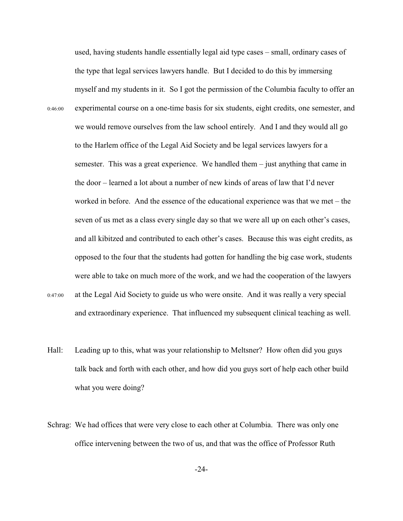used, having students handle essentially legal aid type cases – small, ordinary cases of the type that legal services lawyers handle. But I decided to do this by immersing myself and my students in it. So I got the permission of the Columbia faculty to offer an 0:46:00 experimental course on a one-time basis for six students, eight credits, one semester, and we would remove ourselves from the law school entirely. And I and they would all go to the Harlem office of the Legal Aid Society and be legal services lawyers for a semester. This was a great experience. We handled them – just anything that came in the door – learned a lot about a number of new kinds of areas of law that I'd never worked in before. And the essence of the educational experience was that we met – the seven of us met as a class every single day so that we were all up on each other's cases, and all kibitzed and contributed to each other's cases. Because this was eight credits, as opposed to the four that the students had gotten for handling the big case work, students were able to take on much more of the work, and we had the cooperation of the lawyers

- 0:47:00 at the Legal Aid Society to guide us who were onsite. And it was really a very special and extraordinary experience. That influenced my subsequent clinical teaching as well.
- Hall: Leading up to this, what was your relationship to Meltsner? How often did you guys talk back and forth with each other, and how did you guys sort of help each other build what you were doing?
- Schrag: We had offices that were very close to each other at Columbia. There was only one office intervening between the two of us, and that was the office of Professor Ruth

-24-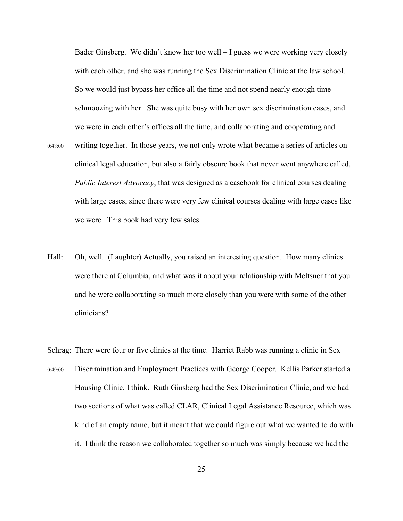Bader Ginsberg. We didn't know her too well – I guess we were working very closely with each other, and she was running the Sex Discrimination Clinic at the law school. So we would just bypass her office all the time and not spend nearly enough time schmoozing with her. She was quite busy with her own sex discrimination cases, and we were in each other's offices all the time, and collaborating and cooperating and

- 0:48:00 writing together. In those years, we not only wrote what became a series of articles on clinical legal education, but also a fairly obscure book that never went anywhere called, *Public Interest Advocacy*, that was designed as a casebook for clinical courses dealing with large cases, since there were very few clinical courses dealing with large cases like we were. This book had very few sales.
- Hall: Oh, well. (Laughter) Actually, you raised an interesting question. How many clinics were there at Columbia, and what was it about your relationship with Meltsner that you and he were collaborating so much more closely than you were with some of the other clinicians?
- Schrag: There were four or five clinics at the time. Harriet Rabb was running a clinic in Sex 0:49:00 Discrimination and Employment Practices with George Cooper. Kellis Parker started a Housing Clinic, I think. Ruth Ginsberg had the Sex Discrimination Clinic, and we had two sections of what was called CLAR, Clinical Legal Assistance Resource, which was kind of an empty name, but it meant that we could figure out what we wanted to do with it. I think the reason we collaborated together so much was simply because we had the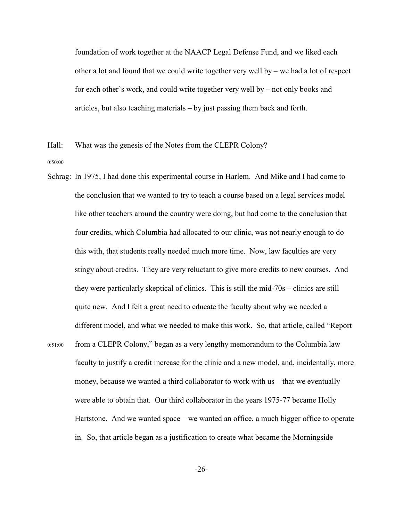foundation of work together at the NAACP Legal Defense Fund, and we liked each other a lot and found that we could write together very well by  $-$  we had a lot of respect for each other's work, and could write together very well by – not only books and articles, but also teaching materials – by just passing them back and forth.

Hall: What was the genesis of the Notes from the CLEPR Colony?

0:50:00

- Schrag: In 1975, I had done this experimental course in Harlem. And Mike and I had come to the conclusion that we wanted to try to teach a course based on a legal services model like other teachers around the country were doing, but had come to the conclusion that four credits, which Columbia had allocated to our clinic, was not nearly enough to do this with, that students really needed much more time. Now, law faculties are very stingy about credits. They are very reluctant to give more credits to new courses. And they were particularly skeptical of clinics. This is still the mid-70s – clinics are still quite new. And I felt a great need to educate the faculty about why we needed a different model, and what we needed to make this work. So, that article, called "Report 0:51:00 from a CLEPR Colony," began as a very lengthy memorandum to the Columbia law faculty to justify a credit increase for the clinic and a new model, and, incidentally, more money, because we wanted a third collaborator to work with us – that we eventually were able to obtain that. Our third collaborator in the years 1975-77 became Holly Hartstone. And we wanted space – we wanted an office, a much bigger office to operate
	- in. So, that article began as a justification to create what became the Morningside

-26-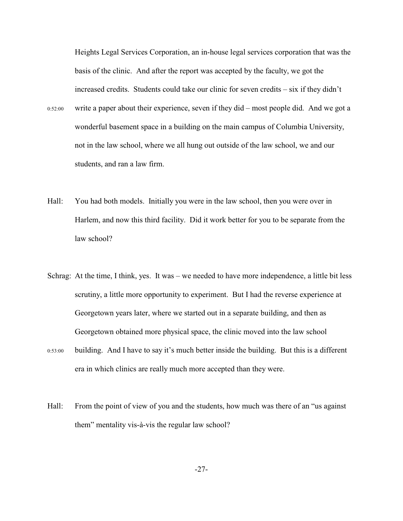Heights Legal Services Corporation, an in-house legal services corporation that was the basis of the clinic. And after the report was accepted by the faculty, we got the increased credits. Students could take our clinic for seven credits – six if they didn't

- 0:52:00 write a paper about their experience, seven if they did most people did. And we got a wonderful basement space in a building on the main campus of Columbia University, not in the law school, where we all hung out outside of the law school, we and our students, and ran a law firm.
- Hall: You had both models. Initially you were in the law school, then you were over in Harlem, and now this third facility. Did it work better for you to be separate from the law school?
- Schrag: At the time, I think, yes. It was we needed to have more independence, a little bit less scrutiny, a little more opportunity to experiment. But I had the reverse experience at Georgetown years later, where we started out in a separate building, and then as Georgetown obtained more physical space, the clinic moved into the law school
- 0:53:00 building. And I have to say it's much better inside the building. But this is a different era in which clinics are really much more accepted than they were.
- Hall: From the point of view of you and the students, how much was there of an "us against" them" mentality vis-à-vis the regular law school?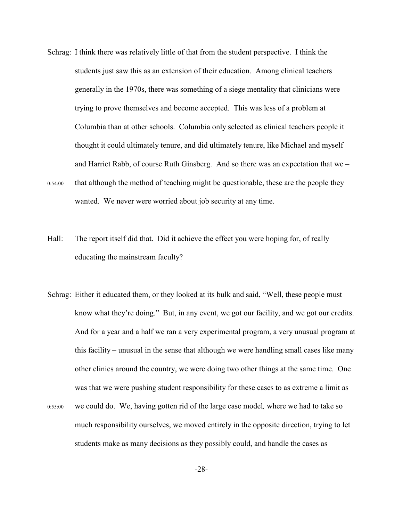- Schrag: I think there was relatively little of that from the student perspective. I think the students just saw this as an extension of their education. Among clinical teachers generally in the 1970s, there was something of a siege mentality that clinicians were trying to prove themselves and become accepted. This was less of a problem at Columbia than at other schools. Columbia only selected as clinical teachers people it thought it could ultimately tenure, and did ultimately tenure, like Michael and myself and Harriet Rabb, of course Ruth Ginsberg. And so there was an expectation that we – 0:54:00 that although the method of teaching might be questionable, these are the people they wanted. We never were worried about job security at any time.
- Hall: The report itself did that. Did it achieve the effect you were hoping for, of really educating the mainstream faculty?
- Schrag: Either it educated them, or they looked at its bulk and said, "Well, these people must know what they're doing." But, in any event, we got our facility, and we got our credits. And for a year and a half we ran a very experimental program, a very unusual program at this facility – unusual in the sense that although we were handling small cases like many other clinics around the country, we were doing two other things at the same time. One was that we were pushing student responsibility for these cases to as extreme a limit as
- 0:55:00 we could do. We, having gotten rid of the large case model*,* where we had to take so much responsibility ourselves, we moved entirely in the opposite direction, trying to let students make as many decisions as they possibly could, and handle the cases as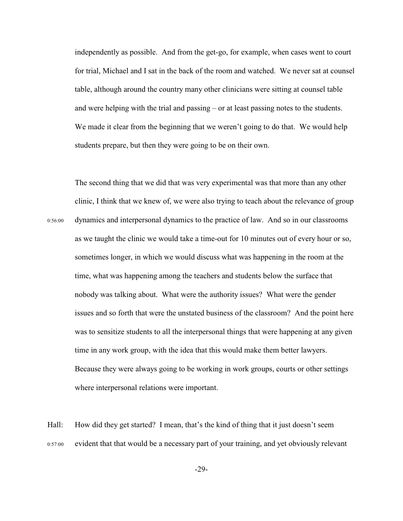independently as possible. And from the get-go, for example, when cases went to court for trial, Michael and I sat in the back of the room and watched. We never sat at counsel table, although around the country many other clinicians were sitting at counsel table and were helping with the trial and passing – or at least passing notes to the students. We made it clear from the beginning that we weren't going to do that. We would help students prepare, but then they were going to be on their own.

The second thing that we did that was very experimental was that more than any other clinic, I think that we knew of, we were also trying to teach about the relevance of group 0:56:00 dynamics and interpersonal dynamics to the practice of law. And so in our classrooms as we taught the clinic we would take a time-out for 10 minutes out of every hour or so, sometimes longer, in which we would discuss what was happening in the room at the time, what was happening among the teachers and students below the surface that nobody was talking about. What were the authority issues? What were the gender issues and so forth that were the unstated business of the classroom? And the point here was to sensitize students to all the interpersonal things that were happening at any given time in any work group, with the idea that this would make them better lawyers. Because they were always going to be working in work groups, courts or other settings where interpersonal relations were important.

Hall: How did they get started? I mean, that's the kind of thing that it just doesn't seem 0:57:00 evident that that would be a necessary part of your training, and yet obviously relevant

-29-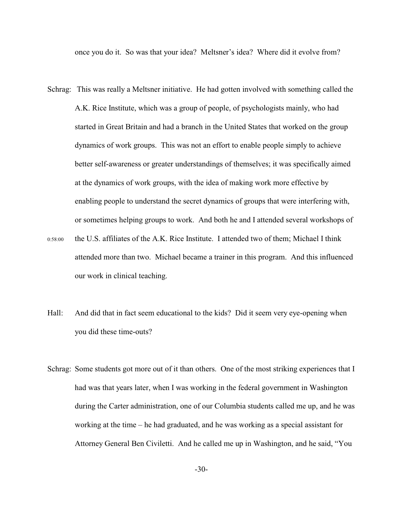once you do it. So was that your idea? Meltsner's idea? Where did it evolve from?

- Schrag: This was really a Meltsner initiative. He had gotten involved with something called the A.K. Rice Institute, which was a group of people, of psychologists mainly, who had started in Great Britain and had a branch in the United States that worked on the group dynamics of work groups. This was not an effort to enable people simply to achieve better self-awareness or greater understandings of themselves; it was specifically aimed at the dynamics of work groups, with the idea of making work more effective by enabling people to understand the secret dynamics of groups that were interfering with, or sometimes helping groups to work. And both he and I attended several workshops of
- 0:58:00 the U.S. affiliates of the A.K. Rice Institute. I attended two of them; Michael I think attended more than two. Michael became a trainer in this program. And this influenced our work in clinical teaching.
- Hall: And did that in fact seem educational to the kids? Did it seem very eye-opening when you did these time-outs?
- Schrag: Some students got more out of it than others. One of the most striking experiences that I had was that years later, when I was working in the federal government in Washington during the Carter administration, one of our Columbia students called me up, and he was working at the time – he had graduated, and he was working as a special assistant for Attorney General Ben Civiletti. And he called me up in Washington, and he said, "You

-30-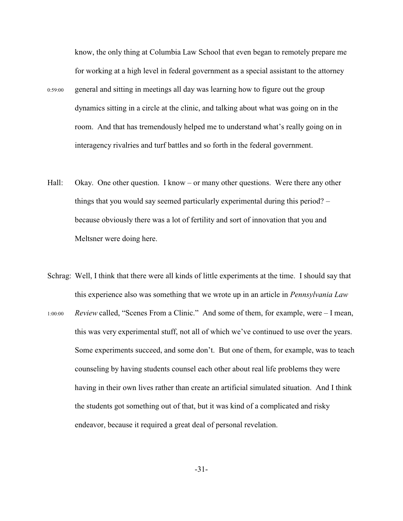know, the only thing at Columbia Law School that even began to remotely prepare me for working at a high level in federal government as a special assistant to the attorney 0:59:00 general and sitting in meetings all day was learning how to figure out the group dynamics sitting in a circle at the clinic, and talking about what was going on in the room. And that has tremendously helped me to understand what's really going on in interagency rivalries and turf battles and so forth in the federal government.

- Hall: Okay. One other question. I know or many other questions. Were there any other things that you would say seemed particularly experimental during this period? – because obviously there was a lot of fertility and sort of innovation that you and Meltsner were doing here.
- Schrag: Well, I think that there were all kinds of little experiments at the time. I should say that this experience also was something that we wrote up in an article in *Pennsylvania Law* 1:00:00 *Review* called, "Scenes From a Clinic." And some of them, for example, were – I mean, this was very experimental stuff, not all of which we've continued to use over the years. Some experiments succeed, and some don't. But one of them, for example, was to teach counseling by having students counsel each other about real life problems they were having in their own lives rather than create an artificial simulated situation. And I think the students got something out of that, but it was kind of a complicated and risky endeavor, because it required a great deal of personal revelation.

-31-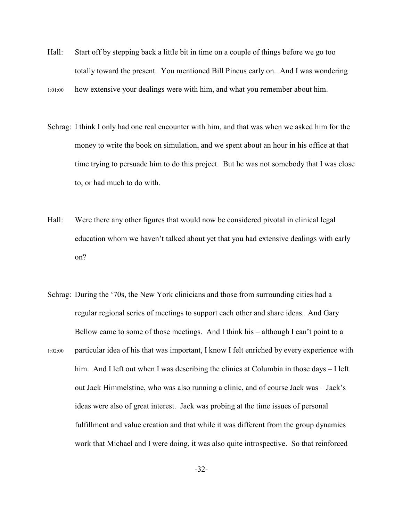Hall: Start off by stepping back a little bit in time on a couple of things before we go too totally toward the present. You mentioned Bill Pincus early on. And I was wondering

1:01:00 how extensive your dealings were with him, and what you remember about him.

- Schrag: I think I only had one real encounter with him, and that was when we asked him for the money to write the book on simulation, and we spent about an hour in his office at that time trying to persuade him to do this project. But he was not somebody that I was close to, or had much to do with.
- Hall: Were there any other figures that would now be considered pivotal in clinical legal education whom we haven't talked about yet that you had extensive dealings with early on?
- Schrag: During the '70s, the New York clinicians and those from surrounding cities had a regular regional series of meetings to support each other and share ideas. And Gary Bellow came to some of those meetings. And I think his – although I can't point to a 1:02:00 particular idea of his that was important, I know I felt enriched by every experience with him. And I left out when I was describing the clinics at Columbia in those days – I left out Jack Himmelstine, who was also running a clinic, and of course Jack was – Jack's ideas were also of great interest. Jack was probing at the time issues of personal fulfillment and value creation and that while it was different from the group dynamics work that Michael and I were doing, it was also quite introspective. So that reinforced

-32-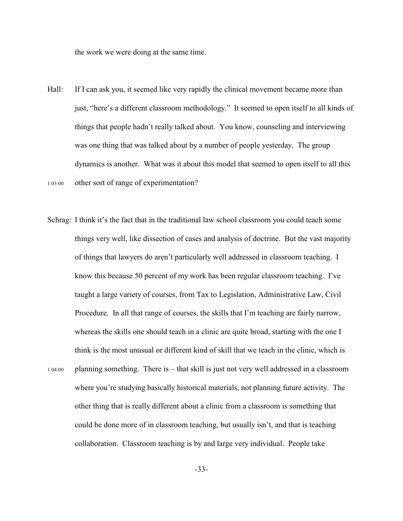the work we were doing at the same time.

- Hall: If I can ask you, it seemed like very rapidly the clinical movement became more than just, "here's a different classroom methodology." It seemed to open itself to all kinds of things that people hadn't really talked about. You know, counseling and interviewing was one thing that was talked about by a number of people yesterday. The group dynamics is another. What was it about this model that seemed to open itself to all this 1:03:00 other sort of range of experimentation?
- Schrag: I think it's the fact that in the traditional law school classroom you could teach some things very well, like dissection of cases and analysis of doctrine. But the vast majority of things that lawyers do aren't particularly well addressed in classroom teaching. I know this because 50 percent of my work has been regular classroom teaching. I've taught a large variety of courses, from Tax to Legislation, Administrative Law, Civil Procedure. In all that range of courses, the skills that I'm teaching are fairly narrow, whereas the skills one should teach in a clinic are quite broad, starting with the one I think is the most unusual or different kind of skill that we teach in the clinic, which is 1:04:00 planning something. There is – that skill is just not very well addressed in a classroom where you're studying basically historical materials, not planning future activity. The other thing that is really different about a clinic from a classroom is something that

collaboration. Classroom teaching is by and large very individual. People take

could be done more of in classroom teaching, but usually isn't, and that is teaching

-33-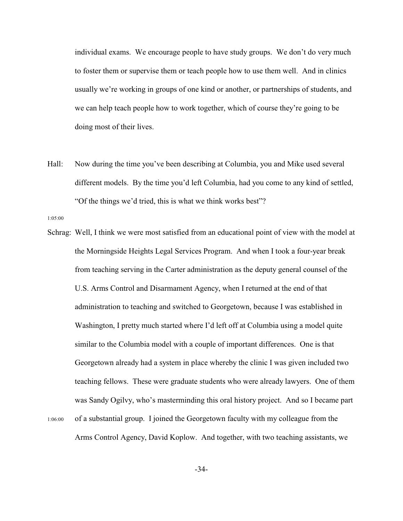individual exams. We encourage people to have study groups. We don't do very much to foster them or supervise them or teach people how to use them well. And in clinics usually we're working in groups of one kind or another, or partnerships of students, and we can help teach people how to work together, which of course they're going to be doing most of their lives.

Hall: Now during the time you've been describing at Columbia, you and Mike used several different models. By the time you'd left Columbia, had you come to any kind of settled, "Of the things we'd tried, this is what we think works best"?

1:05:00

Schrag: Well, I think we were most satisfied from an educational point of view with the model at the Morningside Heights Legal Services Program. And when I took a four-year break from teaching serving in the Carter administration as the deputy general counsel of the U.S. Arms Control and Disarmament Agency, when I returned at the end of that administration to teaching and switched to Georgetown, because I was established in Washington, I pretty much started where I'd left off at Columbia using a model quite similar to the Columbia model with a couple of important differences. One is that Georgetown already had a system in place whereby the clinic I was given included two teaching fellows. These were graduate students who were already lawyers. One of them was Sandy Ogilvy, who's masterminding this oral history project. And so I became part 1:06:00 of a substantial group. I joined the Georgetown faculty with my colleague from the Arms Control Agency, David Koplow. And together, with two teaching assistants, we

-34-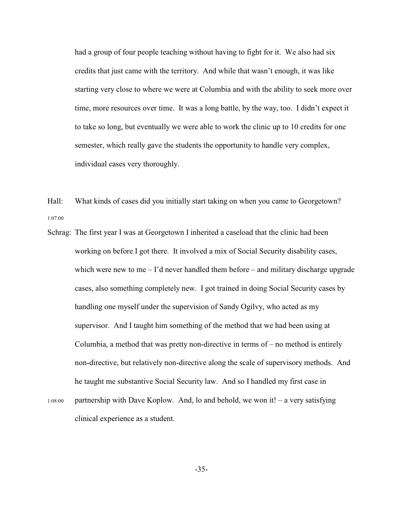had a group of four people teaching without having to fight for it. We also had six credits that just came with the territory. And while that wasn't enough, it was like starting very close to where we were at Columbia and with the ability to seek more over time, more resources over time. It was a long battle, by the way, too. I didn't expect it to take so long, but eventually we were able to work the clinic up to 10 credits for one semester, which really gave the students the opportunity to handle very complex, individual cases very thoroughly.

Hall: What kinds of cases did you initially start taking on when you came to Georgetown? 1:07:00

Schrag: The first year I was at Georgetown I inherited a caseload that the clinic had been working on before I got there. It involved a mix of Social Security disability cases, which were new to me  $-I$ 'd never handled them before  $-$  and military discharge upgrade cases, also something completely new. I got trained in doing Social Security cases by handling one myself under the supervision of Sandy Ogilvy, who acted as my supervisor. And I taught him something of the method that we had been using at Columbia, a method that was pretty non-directive in terms of – no method is entirely non-directive, but relatively non-directive along the scale of supervisory methods. And he taught me substantive Social Security law. And so I handled my first case in 1:08:00 partnership with Dave Koplow. And, lo and behold, we won it! – a very satisfying clinical experience as a student.

-35-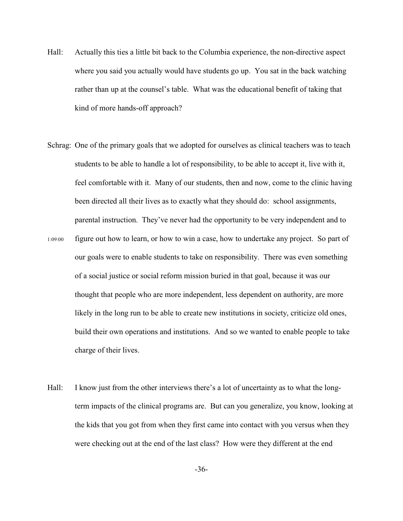- Hall: Actually this ties a little bit back to the Columbia experience, the non-directive aspect where you said you actually would have students go up. You sat in the back watching rather than up at the counsel's table. What was the educational benefit of taking that kind of more hands-off approach?
- Schrag: One of the primary goals that we adopted for ourselves as clinical teachers was to teach students to be able to handle a lot of responsibility, to be able to accept it, live with it, feel comfortable with it. Many of our students, then and now, come to the clinic having been directed all their lives as to exactly what they should do: school assignments, parental instruction. They've never had the opportunity to be very independent and to
- 1:09:00 figure out how to learn, or how to win a case, how to undertake any project. So part of our goals were to enable students to take on responsibility. There was even something of a social justice or social reform mission buried in that goal, because it was our thought that people who are more independent, less dependent on authority, are more likely in the long run to be able to create new institutions in society, criticize old ones, build their own operations and institutions. And so we wanted to enable people to take charge of their lives.
- Hall: I know just from the other interviews there's a lot of uncertainty as to what the longterm impacts of the clinical programs are. But can you generalize, you know, looking at the kids that you got from when they first came into contact with you versus when they were checking out at the end of the last class? How were they different at the end

-36-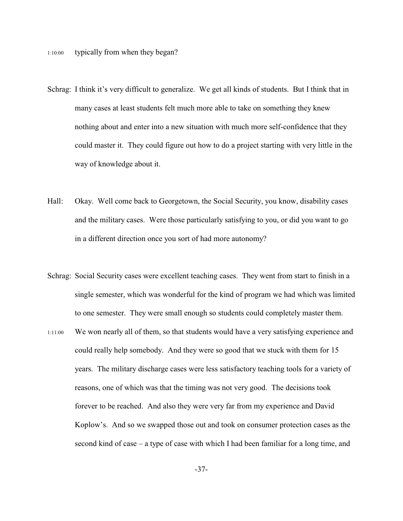- Schrag: I think it's very difficult to generalize. We get all kinds of students. But I think that in many cases at least students felt much more able to take on something they knew nothing about and enter into a new situation with much more self-confidence that they could master it. They could figure out how to do a project starting with very little in the way of knowledge about it.
- Hall: Okay. Well come back to Georgetown, the Social Security, you know, disability cases and the military cases. Were those particularly satisfying to you, or did you want to go in a different direction once you sort of had more autonomy?
- Schrag: Social Security cases were excellent teaching cases. They went from start to finish in a single semester, which was wonderful for the kind of program we had which was limited to one semester. They were small enough so students could completely master them.
- 1:11:00 We won nearly all of them, so that students would have a very satisfying experience and could really help somebody. And they were so good that we stuck with them for 15 years. The military discharge cases were less satisfactory teaching tools for a variety of reasons, one of which was that the timing was not very good. The decisions took forever to be reached. And also they were very far from my experience and David Koplow's. And so we swapped those out and took on consumer protection cases as the second kind of case – a type of case with which I had been familiar for a long time, and

-37-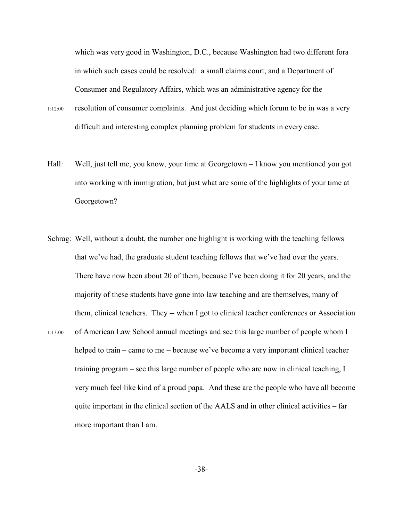which was very good in Washington, D.C., because Washington had two different fora in which such cases could be resolved: a small claims court, and a Department of Consumer and Regulatory Affairs, which was an administrative agency for the

- 1:12:00 resolution of consumer complaints. And just deciding which forum to be in was a very difficult and interesting complex planning problem for students in every case.
- Hall: Well, just tell me, you know, your time at Georgetown I know you mentioned you got into working with immigration, but just what are some of the highlights of your time at Georgetown?
- Schrag: Well, without a doubt, the number one highlight is working with the teaching fellows that we've had, the graduate student teaching fellows that we've had over the years. There have now been about 20 of them, because I've been doing it for 20 years, and the majority of these students have gone into law teaching and are themselves, many of them, clinical teachers. They -- when I got to clinical teacher conferences or Association 1:13:00 of American Law School annual meetings and see this large number of people whom I helped to train – came to me – because we've become a very important clinical teacher training program – see this large number of people who are now in clinical teaching, I very much feel like kind of a proud papa. And these are the people who have all become quite important in the clinical section of the  $AALS$  and in other clinical activities – far more important than I am.

-38-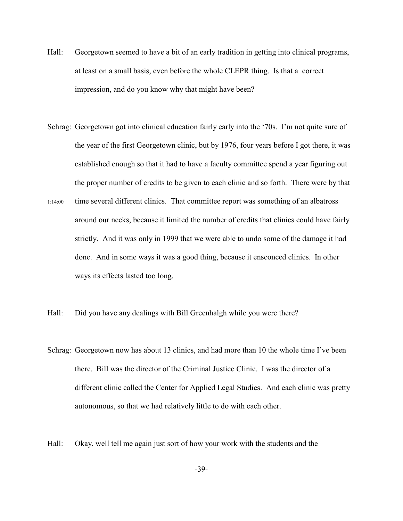- Hall: Georgetown seemed to have a bit of an early tradition in getting into clinical programs, at least on a small basis, even before the whole CLEPR thing. Is that a correct impression, and do you know why that might have been?
- Schrag: Georgetown got into clinical education fairly early into the '70s. I'm not quite sure of the year of the first Georgetown clinic, but by 1976, four years before I got there, it was established enough so that it had to have a faculty committee spend a year figuring out the proper number of credits to be given to each clinic and so forth. There were by that
- 1:14:00 time several different clinics. That committee report was something of an albatross around our necks, because it limited the number of credits that clinics could have fairly strictly. And it was only in 1999 that we were able to undo some of the damage it had done. And in some ways it was a good thing, because it ensconced clinics. In other ways its effects lasted too long.
- Hall: Did you have any dealings with Bill Greenhalgh while you were there?
- Schrag: Georgetown now has about 13 clinics, and had more than 10 the whole time I've been there. Bill was the director of the Criminal Justice Clinic. I was the director of a different clinic called the Center for Applied Legal Studies. And each clinic was pretty autonomous, so that we had relatively little to do with each other.
- Hall: Okay, well tell me again just sort of how your work with the students and the

-39-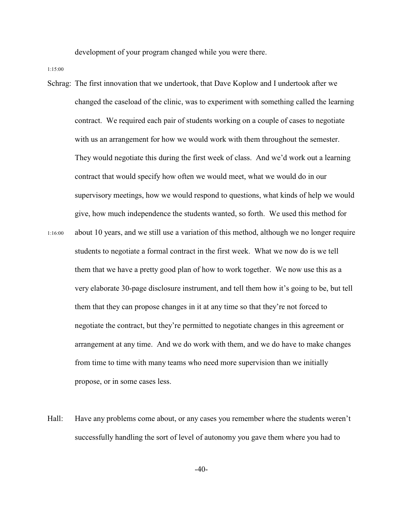development of your program changed while you were there.

1:15:00

Schrag: The first innovation that we undertook, that Dave Koplow and I undertook after we changed the caseload of the clinic, was to experiment with something called the learning contract. We required each pair of students working on a couple of cases to negotiate with us an arrangement for how we would work with them throughout the semester. They would negotiate this during the first week of class. And we'd work out a learning contract that would specify how often we would meet, what we would do in our supervisory meetings, how we would respond to questions, what kinds of help we would give, how much independence the students wanted, so forth. We used this method for 1:16:00 about 10 years, and we still use a variation of this method, although we no longer require students to negotiate a formal contract in the first week. What we now do is we tell them that we have a pretty good plan of how to work together. We now use this as a very elaborate 30-page disclosure instrument, and tell them how it's going to be, but tell them that they can propose changes in it at any time so that they're not forced to negotiate the contract, but they're permitted to negotiate changes in this agreement or arrangement at any time. And we do work with them, and we do have to make changes

propose, or in some cases less.

Hall: Have any problems come about, or any cases you remember where the students weren't successfully handling the sort of level of autonomy you gave them where you had to

from time to time with many teams who need more supervision than we initially

 $-40-$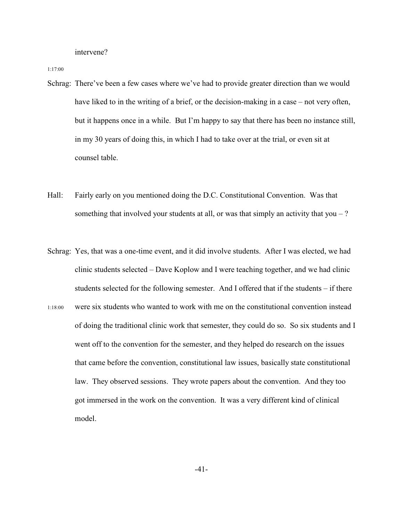intervene?

1:17:00

- Schrag: There've been a few cases where we've had to provide greater direction than we would have liked to in the writing of a brief, or the decision-making in a case – not very often, but it happens once in a while. But I'm happy to say that there has been no instance still, in my 30 years of doing this, in which I had to take over at the trial, or even sit at counsel table.
- Hall: Fairly early on you mentioned doing the D.C. Constitutional Convention. Was that something that involved your students at all, or was that simply an activity that you  $-$  ?
- Schrag: Yes, that was a one-time event, and it did involve students. After I was elected, we had clinic students selected – Dave Koplow and I were teaching together, and we had clinic students selected for the following semester. And I offered that if the students – if there 1:18:00 were six students who wanted to work with me on the constitutional convention instead of doing the traditional clinic work that semester, they could do so. So six students and I went off to the convention for the semester, and they helped do research on the issues that came before the convention, constitutional law issues, basically state constitutional law. They observed sessions. They wrote papers about the convention. And they too got immersed in the work on the convention. It was a very different kind of clinical model.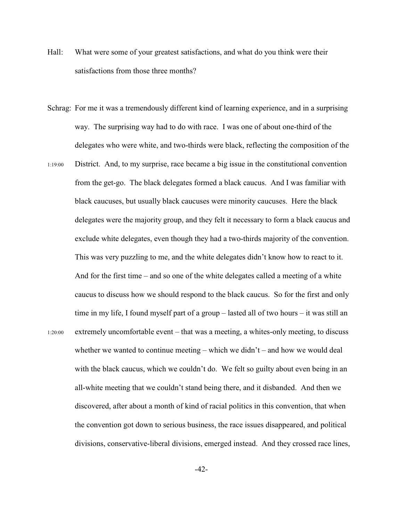- Hall: What were some of your greatest satisfactions, and what do you think were their satisfactions from those three months?
- Schrag: For me it was a tremendously different kind of learning experience, and in a surprising way. The surprising way had to do with race. I was one of about one-third of the delegates who were white, and two-thirds were black, reflecting the composition of the
- 1:19:00 District. And, to my surprise, race became a big issue in the constitutional convention from the get-go. The black delegates formed a black caucus. And I was familiar with black caucuses, but usually black caucuses were minority caucuses. Here the black delegates were the majority group, and they felt it necessary to form a black caucus and exclude white delegates, even though they had a two-thirds majority of the convention. This was very puzzling to me, and the white delegates didn't know how to react to it. And for the first time – and so one of the white delegates called a meeting of a white caucus to discuss how we should respond to the black caucus. So for the first and only time in my life, I found myself part of a group – lasted all of two hours – it was still an 1:20:00 extremely uncomfortable event – that was a meeting, a whites-only meeting, to discuss whether we wanted to continue meeting – which we didn't – and how we would deal with the black caucus, which we couldn't do. We felt so guilty about even being in an all-white meeting that we couldn't stand being there, and it disbanded. And then we discovered, after about a month of kind of racial politics in this convention, that when the convention got down to serious business, the race issues disappeared, and political divisions, conservative-liberal divisions, emerged instead. And they crossed race lines,

-42-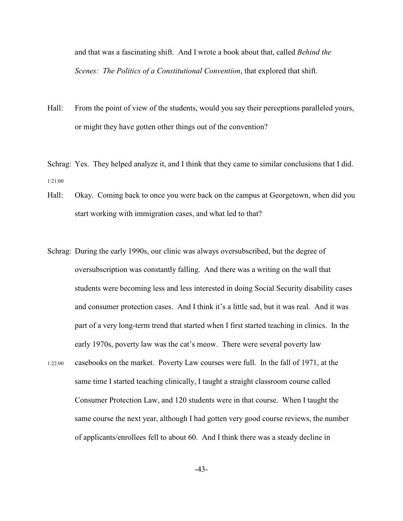and that was a fascinating shift. And I wrote a book about that, called *Behind the Scenes: The Politics of a Constitutional Convention*, that explored that shift.

Hall: From the point of view of the students, would you say their perceptions paralleled yours, or might they have gotten other things out of the convention?

Schrag: Yes. They helped analyze it, and I think that they came to similar conclusions that I did. 1:21:00

- Hall: Okay. Coming back to once you were back on the campus at Georgetown, when did you start working with immigration cases, and what led to that?
- Schrag: During the early 1990s, our clinic was always oversubscribed, but the degree of oversubscription was constantly falling. And there was a writing on the wall that students were becoming less and less interested in doing Social Security disability cases and consumer protection cases. And I think it's a little sad, but it was real. And it was part of a very long-term trend that started when I first started teaching in clinics. In the early 1970s, poverty law was the cat's meow. There were several poverty law 1:22:00 casebooks on the market. Poverty Law courses were full. In the fall of 1971, at the same time I started teaching clinically, I taught a straight classroom course called Consumer Protection Law, and 120 students were in that course. When I taught the same course the next year, although I had gotten very good course reviews, the number of applicants/enrollees fell to about 60. And I think there was a steady decline in

-43-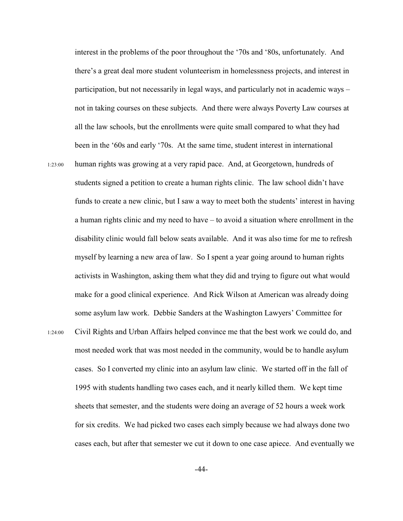interest in the problems of the poor throughout the '70s and '80s, unfortunately. And there's a great deal more student volunteerism in homelessness projects, and interest in participation, but not necessarily in legal ways, and particularly not in academic ways – not in taking courses on these subjects. And there were always Poverty Law courses at all the law schools, but the enrollments were quite small compared to what they had been in the '60s and early '70s. At the same time, student interest in international 1:23:00 human rights was growing at a very rapid pace. And, at Georgetown, hundreds of students signed a petition to create a human rights clinic. The law school didn't have funds to create a new clinic, but I saw a way to meet both the students' interest in having a human rights clinic and my need to have – to avoid a situation where enrollment in the disability clinic would fall below seats available. And it was also time for me to refresh myself by learning a new area of law. So I spent a year going around to human rights activists in Washington, asking them what they did and trying to figure out what would make for a good clinical experience. And Rick Wilson at American was already doing some asylum law work. Debbie Sanders at the Washington Lawyers' Committee for 1:24:00 Civil Rights and Urban Affairs helped convince me that the best work we could do, and most needed work that was most needed in the community, would be to handle asylum cases. So I converted my clinic into an asylum law clinic. We started off in the fall of 1995 with students handling two cases each, and it nearly killed them. We kept time sheets that semester, and the students were doing an average of 52 hours a week work for six credits. We had picked two cases each simply because we had always done two cases each, but after that semester we cut it down to one case apiece. And eventually we

-44-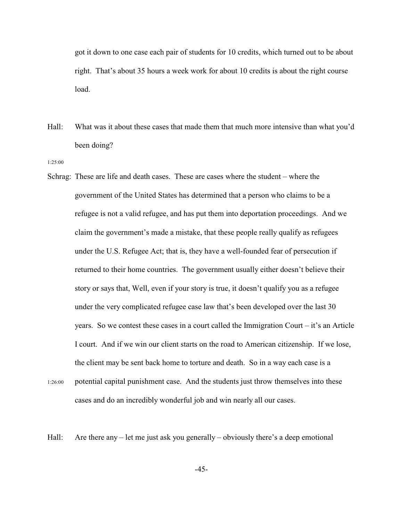got it down to one case each pair of students for 10 credits, which turned out to be about right. That's about 35 hours a week work for about 10 credits is about the right course load.

- Hall: What was it about these cases that made them that much more intensive than what you'd been doing?
- 1:25:00
- Schrag: These are life and death cases. These are cases where the student where the government of the United States has determined that a person who claims to be a refugee is not a valid refugee, and has put them into deportation proceedings. And we claim the government's made a mistake, that these people really qualify as refugees under the U.S. Refugee Act; that is, they have a well-founded fear of persecution if returned to their home countries. The government usually either doesn't believe their story or says that, Well, even if your story is true, it doesn't qualify you as a refugee under the very complicated refugee case law that's been developed over the last 30 years. So we contest these cases in a court called the Immigration Court – it's an Article I court. And if we win our client starts on the road to American citizenship. If we lose, the client may be sent back home to torture and death. So in a way each case is a 1:26:00 potential capital punishment case. And the students just throw themselves into these
- cases and do an incredibly wonderful job and win nearly all our cases.

Hall: Are there any – let me just ask you generally – obviously there's a deep emotional

-45-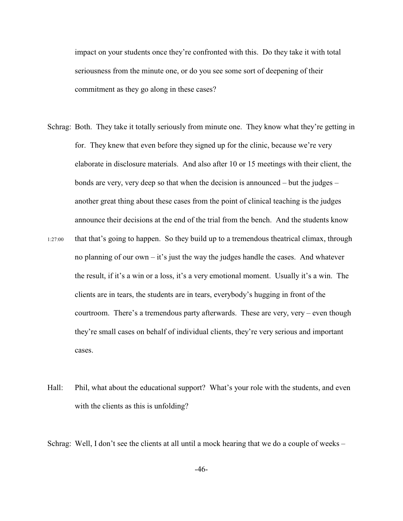impact on your students once they're confronted with this. Do they take it with total seriousness from the minute one, or do you see some sort of deepening of their commitment as they go along in these cases?

- Schrag: Both. They take it totally seriously from minute one. They know what they're getting in for. They knew that even before they signed up for the clinic, because we're very elaborate in disclosure materials. And also after 10 or 15 meetings with their client, the bonds are very, very deep so that when the decision is announced – but the judges – another great thing about these cases from the point of clinical teaching is the judges announce their decisions at the end of the trial from the bench. And the students know
- 1:27:00 that that's going to happen. So they build up to a tremendous theatrical climax, through no planning of our own – it's just the way the judges handle the cases. And whatever the result, if it's a win or a loss, it's a very emotional moment. Usually it's a win. The clients are in tears, the students are in tears, everybody's hugging in front of the courtroom. There's a tremendous party afterwards. These are very, very – even though they're small cases on behalf of individual clients, they're very serious and important cases.
- Hall: Phil, what about the educational support? What's your role with the students, and even with the clients as this is unfolding?

Schrag: Well, I don't see the clients at all until a mock hearing that we do a couple of weeks –

-46-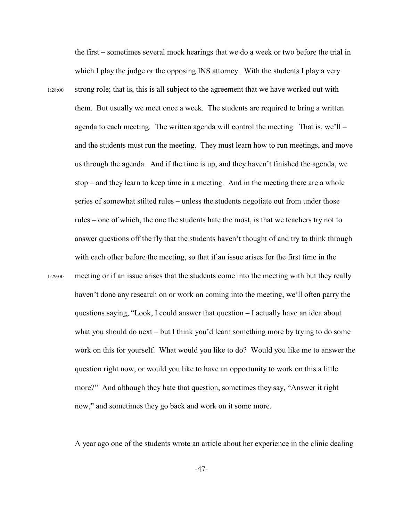the first – sometimes several mock hearings that we do a week or two before the trial in which I play the judge or the opposing INS attorney. With the students I play a very 1:28:00 strong role; that is, this is all subject to the agreement that we have worked out with them. But usually we meet once a week. The students are required to bring a written agenda to each meeting. The written agenda will control the meeting. That is, we'll – and the students must run the meeting. They must learn how to run meetings, and move us through the agenda. And if the time is up, and they haven't finished the agenda, we stop – and they learn to keep time in a meeting. And in the meeting there are a whole series of somewhat stilted rules – unless the students negotiate out from under those rules – one of which, the one the students hate the most, is that we teachers try not to answer questions off the fly that the students haven't thought of and try to think through with each other before the meeting, so that if an issue arises for the first time in the 1:29:00 meeting or if an issue arises that the students come into the meeting with but they really haven't done any research on or work on coming into the meeting, we'll often parry the questions saying, "Look, I could answer that question – I actually have an idea about what you should do next – but I think you'd learn something more by trying to do some work on this for yourself. What would you like to do? Would you like me to answer the question right now, or would you like to have an opportunity to work on this a little more?" And although they hate that question, sometimes they say, "Answer it right now," and sometimes they go back and work on it some more.

A year ago one of the students wrote an article about her experience in the clinic dealing

-47-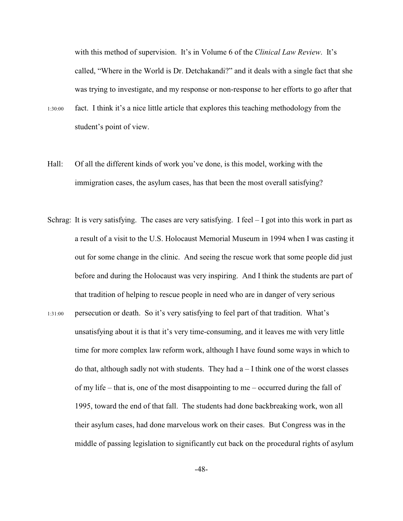with this method of supervision. It's in Volume 6 of the *Clinical Law Review*. It's called, "Where in the World is Dr. Detchakandi?" and it deals with a single fact that she was trying to investigate, and my response or non-response to her efforts to go after that

- 1:30:00 fact. I think it's a nice little article that explores this teaching methodology from the student's point of view.
- Hall: Of all the different kinds of work you've done, is this model, working with the immigration cases, the asylum cases, has that been the most overall satisfying?
- Schrag: It is very satisfying. The cases are very satisfying. I feel I got into this work in part as a result of a visit to the U.S. Holocaust Memorial Museum in 1994 when I was casting it out for some change in the clinic. And seeing the rescue work that some people did just before and during the Holocaust was very inspiring. And I think the students are part of that tradition of helping to rescue people in need who are in danger of very serious 1:31:00 persecution or death. So it's very satisfying to feel part of that tradition. What's unsatisfying about it is that it's very time-consuming, and it leaves me with very little time for more complex law reform work, although I have found some ways in which to do that, although sadly not with students. They had  $a - I$  think one of the worst classes of my life – that is, one of the most disappointing to me – occurred during the fall of 1995, toward the end of that fall. The students had done backbreaking work, won all their asylum cases, had done marvelous work on their cases. But Congress was in the middle of passing legislation to significantly cut back on the procedural rights of asylum

-48-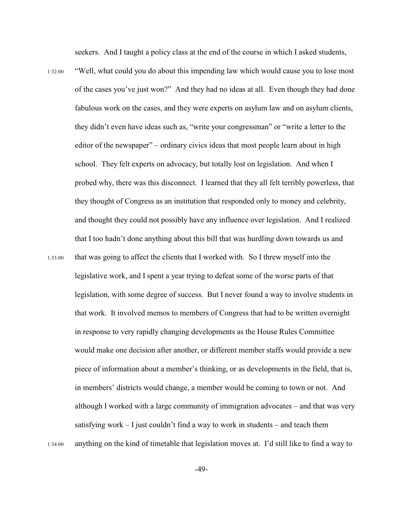seekers. And I taught a policy class at the end of the course in which I asked students,

1:32:00 "Well, what could you do about this impending law which would cause you to lose most of the cases you've just won?" And they had no ideas at all. Even though they had done fabulous work on the cases, and they were experts on asylum law and on asylum clients, they didn't even have ideas such as, "write your congressman" or "write a letter to the editor of the newspaper" – ordinary civics ideas that most people learn about in high school. They felt experts on advocacy, but totally lost on legislation. And when I probed why, there was this disconnect. I learned that they all felt terribly powerless, that they thought of Congress as an institution that responded only to money and celebrity, and thought they could not possibly have any influence over legislation. And I realized that I too hadn't done anything about this bill that was hurdling down towards us and 1:33:00 that was going to affect the clients that I worked with. So I threw myself into the legislative work, and I spent a year trying to defeat some of the worse parts of that legislation, with some degree of success. But I never found a way to involve students in that work. It involved memos to members of Congress that had to be written overnight in response to very rapidly changing developments as the House Rules Committee would make one decision after another, or different member staffs would provide a new piece of information about a member's thinking, or as developments in the field, that is, in members' districts would change, a member would be coming to town or not. And although I worked with a large community of immigration advocates – and that was very satisfying work  $-1$  just couldn't find a way to work in students – and teach them 1:34:00 anything on the kind of timetable that legislation moves at. I'd still like to find a way to

-49-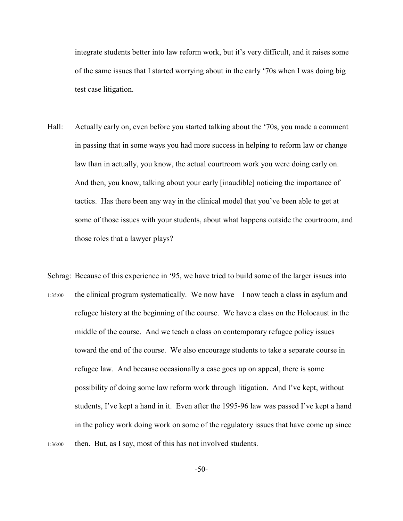integrate students better into law reform work, but it's very difficult, and it raises some of the same issues that I started worrying about in the early '70s when I was doing big test case litigation.

- Hall: Actually early on, even before you started talking about the '70s, you made a comment in passing that in some ways you had more success in helping to reform law or change law than in actually, you know, the actual courtroom work you were doing early on. And then, you know, talking about your early [inaudible] noticing the importance of tactics. Has there been any way in the clinical model that you've been able to get at some of those issues with your students, about what happens outside the courtroom, and those roles that a lawyer plays?
- Schrag: Because of this experience in '95, we have tried to build some of the larger issues into 1:35:00 the clinical program systematically. We now have – I now teach a class in asylum and refugee history at the beginning of the course. We have a class on the Holocaust in the middle of the course. And we teach a class on contemporary refugee policy issues toward the end of the course. We also encourage students to take a separate course in refugee law. And because occasionally a case goes up on appeal, there is some possibility of doing some law reform work through litigation. And I've kept, without students, I've kept a hand in it. Even after the 1995-96 law was passed I've kept a hand in the policy work doing work on some of the regulatory issues that have come up since 1:36:00 then. But, as I say, most of this has not involved students.

-50-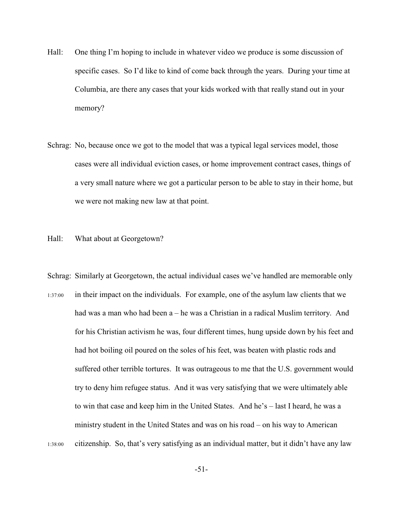- Hall: One thing I'm hoping to include in whatever video we produce is some discussion of specific cases. So I'd like to kind of come back through the years. During your time at Columbia, are there any cases that your kids worked with that really stand out in your memory?
- Schrag: No, because once we got to the model that was a typical legal services model, those cases were all individual eviction cases, or home improvement contract cases, things of a very small nature where we got a particular person to be able to stay in their home, but we were not making new law at that point.
- Hall: What about at Georgetown?
- Schrag: Similarly at Georgetown, the actual individual cases we've handled are memorable only 1:37:00 in their impact on the individuals. For example, one of the asylum law clients that we had was a man who had been  $a - he$  was a Christian in a radical Muslim territory. And for his Christian activism he was, four different times, hung upside down by his feet and had hot boiling oil poured on the soles of his feet, was beaten with plastic rods and suffered other terrible tortures. It was outrageous to me that the U.S. government would try to deny him refugee status. And it was very satisfying that we were ultimately able to win that case and keep him in the United States. And he's – last I heard, he was a ministry student in the United States and was on his road – on his way to American 1:38:00 citizenship. So, that's very satisfying as an individual matter, but it didn't have any law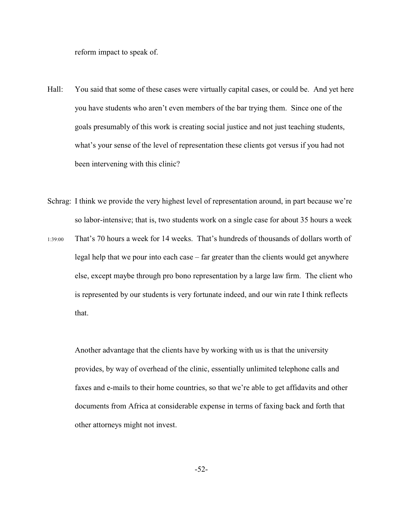reform impact to speak of.

- Hall: You said that some of these cases were virtually capital cases, or could be. And yet here you have students who aren't even members of the bar trying them. Since one of the goals presumably of this work is creating social justice and not just teaching students, what's your sense of the level of representation these clients got versus if you had not been intervening with this clinic?
- Schrag: I think we provide the very highest level of representation around, in part because we're so labor-intensive; that is, two students work on a single case for about 35 hours a week
- 1:39:00 That's 70 hours a week for 14 weeks. That's hundreds of thousands of dollars worth of legal help that we pour into each case – far greater than the clients would get anywhere else, except maybe through pro bono representation by a large law firm. The client who is represented by our students is very fortunate indeed, and our win rate I think reflects that.

Another advantage that the clients have by working with us is that the university provides, by way of overhead of the clinic, essentially unlimited telephone calls and faxes and e-mails to their home countries, so that we're able to get affidavits and other documents from Africa at considerable expense in terms of faxing back and forth that other attorneys might not invest.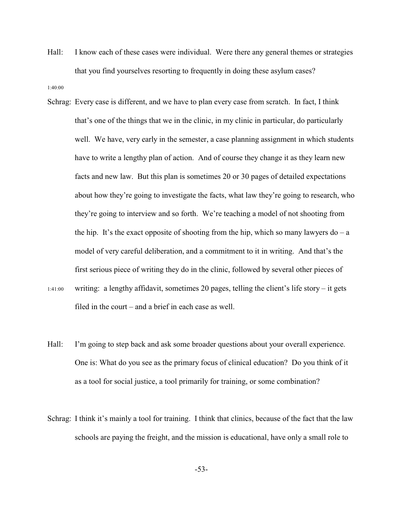Hall: I know each of these cases were individual. Were there any general themes or strategies that you find yourselves resorting to frequently in doing these asylum cases?

1:40:00

- Schrag: Every case is different, and we have to plan every case from scratch. In fact, I think that's one of the things that we in the clinic, in my clinic in particular, do particularly well. We have, very early in the semester, a case planning assignment in which students have to write a lengthy plan of action. And of course they change it as they learn new facts and new law. But this plan is sometimes 20 or 30 pages of detailed expectations about how they're going to investigate the facts, what law they're going to research, who they're going to interview and so forth. We're teaching a model of not shooting from the hip. It's the exact opposite of shooting from the hip, which so many lawyers  $do - a$ model of very careful deliberation, and a commitment to it in writing. And that's the first serious piece of writing they do in the clinic, followed by several other pieces of 1:41:00 writing: a lengthy affidavit, sometimes 20 pages, telling the client's life story – it gets filed in the court – and a brief in each case as well.
- Hall: I'm going to step back and ask some broader questions about your overall experience. One is: What do you see as the primary focus of clinical education? Do you think of it as a tool for social justice, a tool primarily for training, or some combination?
- Schrag: I think it's mainly a tool for training. I think that clinics, because of the fact that the law schools are paying the freight, and the mission is educational, have only a small role to

-53-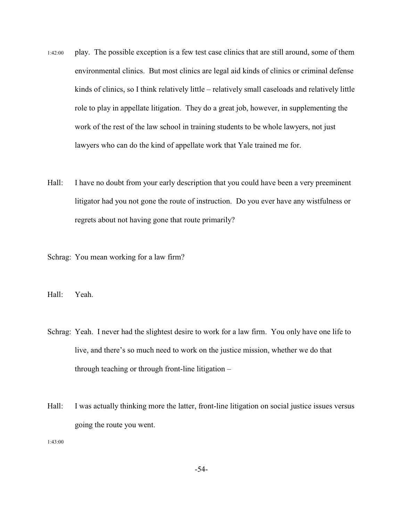- 1:42:00 play. The possible exception is a few test case clinics that are still around, some of them environmental clinics. But most clinics are legal aid kinds of clinics or criminal defense kinds of clinics, so I think relatively little – relatively small caseloads and relatively little role to play in appellate litigation. They do a great job, however, in supplementing the work of the rest of the law school in training students to be whole lawyers, not just lawyers who can do the kind of appellate work that Yale trained me for.
- Hall: I have no doubt from your early description that you could have been a very preeminent litigator had you not gone the route of instruction. Do you ever have any wistfulness or regrets about not having gone that route primarily?

Schrag: You mean working for a law firm?

Hall: Yeah.

- Schrag: Yeah. I never had the slightest desire to work for a law firm. You only have one life to live, and there's so much need to work on the justice mission, whether we do that through teaching or through front-line litigation –
- Hall: I was actually thinking more the latter, front-line litigation on social justice issues versus going the route you went.

1:43:00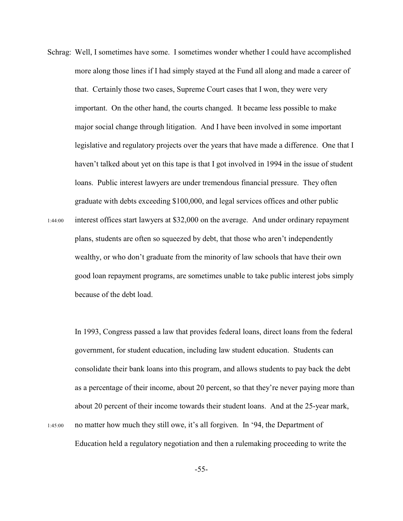Schrag: Well, I sometimes have some. I sometimes wonder whether I could have accomplished more along those lines if I had simply stayed at the Fund all along and made a career of that. Certainly those two cases, Supreme Court cases that I won, they were very important. On the other hand, the courts changed. It became less possible to make major social change through litigation. And I have been involved in some important legislative and regulatory projects over the years that have made a difference. One that I haven't talked about yet on this tape is that I got involved in 1994 in the issue of student loans. Public interest lawyers are under tremendous financial pressure. They often graduate with debts exceeding \$100,000, and legal services offices and other public 1:44:00 interest offices start lawyers at \$32,000 on the average. And under ordinary repayment plans, students are often so squeezed by debt, that those who aren't independently wealthy, or who don't graduate from the minority of law schools that have their own good loan repayment programs, are sometimes unable to take public interest jobs simply

because of the debt load.

In 1993, Congress passed a law that provides federal loans, direct loans from the federal government, for student education, including law student education. Students can consolidate their bank loans into this program, and allows students to pay back the debt as a percentage of their income, about 20 percent, so that they're never paying more than about 20 percent of their income towards their student loans. And at the 25-year mark, 1:45:00 no matter how much they still owe, it's all forgiven. In '94, the Department of Education held a regulatory negotiation and then a rulemaking proceeding to write the

-55-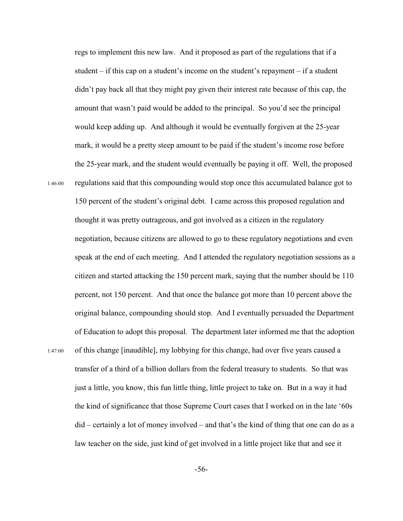regs to implement this new law. And it proposed as part of the regulations that if a student  $-$  if this cap on a student's income on the student's repayment  $-$  if a student didn't pay back all that they might pay given their interest rate because of this cap, the amount that wasn't paid would be added to the principal. So you'd see the principal would keep adding up. And although it would be eventually forgiven at the 25-year mark, it would be a pretty steep amount to be paid if the student's income rose before the 25-year mark, and the student would eventually be paying it off. Well, the proposed 1:46:00 regulations said that this compounding would stop once this accumulated balance got to 150 percent of the student's original debt. I came across this proposed regulation and thought it was pretty outrageous, and got involved as a citizen in the regulatory negotiation, because citizens are allowed to go to these regulatory negotiations and even speak at the end of each meeting. And I attended the regulatory negotiation sessions as a citizen and started attacking the 150 percent mark, saying that the number should be 110 percent, not 150 percent. And that once the balance got more than 10 percent above the original balance, compounding should stop. And I eventually persuaded the Department of Education to adopt this proposal. The department later informed me that the adoption 1:47:00 of this change [inaudible], my lobbying for this change, had over five years caused a transfer of a third of a billion dollars from the federal treasury to students. So that was just a little, you know, this fun little thing, little project to take on. But in a way it had the kind of significance that those Supreme Court cases that I worked on in the late '60s did – certainly a lot of money involved – and that's the kind of thing that one can do as a law teacher on the side, just kind of get involved in a little project like that and see it

-56-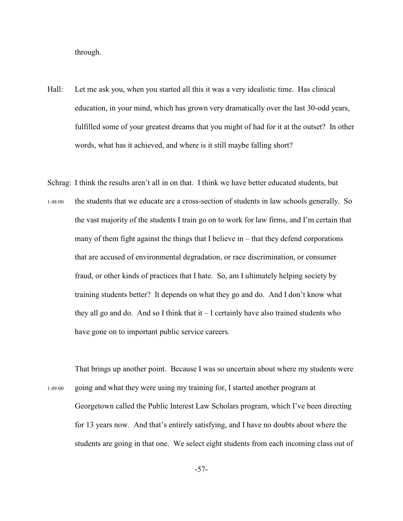through.

- Hall: Let me ask you, when you started all this it was a very idealistic time. Has clinical education, in your mind, which has grown very dramatically over the last 30-odd years, fulfilled some of your greatest dreams that you might of had for it at the outset? In other words, what has it achieved, and where is it still maybe falling short?
- Schrag: I think the results aren't all in on that. I think we have better educated students, but 1:48:00 the students that we educate are a cross-section of students in law schools generally. So the vast majority of the students I train go on to work for law firms, and I'm certain that many of them fight against the things that I believe in – that they defend corporations that are accused of environmental degradation, or race discrimination, or consumer fraud, or other kinds of practices that I hate. So, am I ultimately helping society by training students better? It depends on what they go and do. And I don't know what they all go and do. And so I think that  $i - I$  certainly have also trained students who have gone on to important public service careers.
- That brings up another point. Because I was so uncertain about where my students were 1:49:00 going and what they were using my training for, I started another program at Georgetown called the Public Interest Law Scholars program, which I've been directing for 13 years now. And that's entirely satisfying, and I have no doubts about where the students are going in that one. We select eight students from each incoming class out of

-57-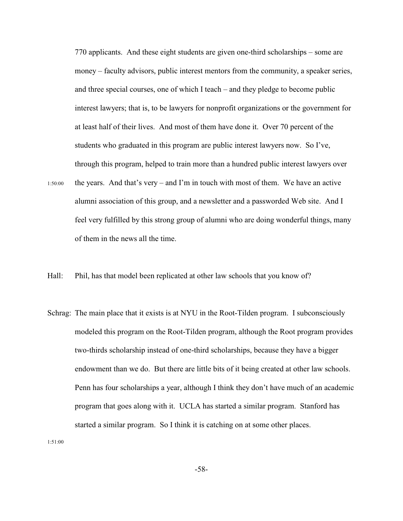770 applicants. And these eight students are given one-third scholarships – some are money – faculty advisors, public interest mentors from the community, a speaker series, and three special courses, one of which I teach – and they pledge to become public interest lawyers; that is, to be lawyers for nonprofit organizations or the government for at least half of their lives. And most of them have done it. Over 70 percent of the students who graduated in this program are public interest lawyers now. So I've, through this program, helped to train more than a hundred public interest lawyers over

- 1:50:00 the years. And that's very and I'm in touch with most of them. We have an active alumni association of this group, and a newsletter and a passworded Web site. And I feel very fulfilled by this strong group of alumni who are doing wonderful things, many of them in the news all the time.
- Hall: Phil, has that model been replicated at other law schools that you know of?
- Schrag: The main place that it exists is at NYU in the Root-Tilden program. I subconsciously modeled this program on the Root-Tilden program, although the Root program provides two-thirds scholarship instead of one-third scholarships, because they have a bigger endowment than we do. But there are little bits of it being created at other law schools. Penn has four scholarships a year, although I think they don't have much of an academic program that goes along with it. UCLA has started a similar program. Stanford has started a similar program. So I think it is catching on at some other places.

1:51:00

-58-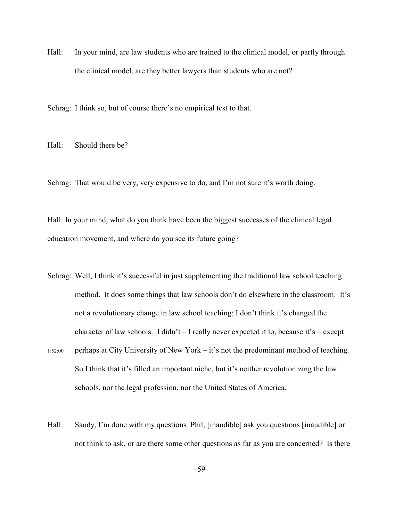Hall: In your mind, are law students who are trained to the clinical model, or partly through the clinical model, are they better lawyers than students who are not?

Schrag: I think so, but of course there's no empirical test to that.

Hall: Should there be?

Schrag: That would be very, very expensive to do, and I'm not sure it's worth doing.

Hall: In your mind, what do you think have been the biggest successes of the clinical legal education movement, and where do you see its future going?

- Schrag: Well, I think it's successful in just supplementing the traditional law school teaching method. It does some things that law schools don't do elsewhere in the classroom. It's not a revolutionary change in law school teaching; I don't think it's changed the character of law schools. I didn't  $-$  I really never expected it to, because it's  $-$  except
- 1:52:00 perhaps at City University of New York it's not the predominant method of teaching. So I think that it's filled an important niche, but it's neither revolutionizing the law schools, nor the legal profession, nor the United States of America.
- Hall: Sandy, I'm done with my questions Phil, [inaudible] ask you questions [inaudible] or not think to ask, or are there some other questions as far as you are concerned? Is there

-59-